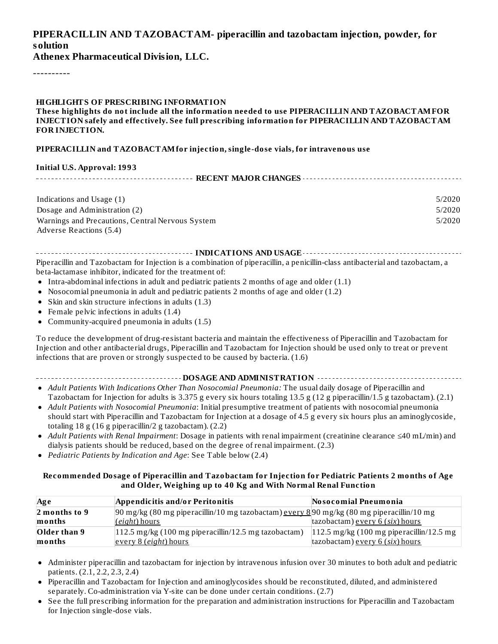### **PIPERACILLIN AND TAZOBACTAM- piperacillin and tazobactam injection, powder, for solution**

**Athenex Pharmaceutical Division, LLC.**

----------

#### **HIGHLIGHTS OF PRESCRIBING INFORMATION**

**These highlights do not include all the information needed to use PIPERACILLIN AND TAZOBACTAMFOR INJECTION safely and effectively. See full prescribing information for PIPERACILLIN AND TAZOBACTAM FOR INJECTION.**

#### **PIPERACILLIN and TAZOBACTAMfor injection, single-dose vials, for intravenous use**

#### **Initial U.S. Approval: 1993**

| Indications and Usage (1)                        | 5/2020 |  |  |  |
|--------------------------------------------------|--------|--|--|--|
| Dosage and Administration (2)                    | 5/2020 |  |  |  |
| Warnings and Precautions, Central Nervous System | 5/2020 |  |  |  |
| Adverse Reactions (5.4)                          |        |  |  |  |

**INDICATIONS AND USAGE INDICATIONS AND USAGE** *CONSIDERATIONS* **AND USAGE** *AND* **USAGE** *AND* **USAGE** *AND* Piperacillin and Tazobactam for Injection is a combination of piperacillin, a penicillin-class antibacterial and tazobactam, a beta-lactamase inhibitor, indicated for the treatment of:

- Intra-abdominal infections in adult and pediatric patients 2 months of age and older (1.1)
- Nosocomial pneumonia in adult and pediatric patients 2 months of age and older (1.2)
- Skin and skin structure infections in adults (1.3)
- Female pelvic infections in adults (1.4)
- Community-acquired pneumonia in adults (1.5)

To reduce the development of drug-resistant bacteria and maintain the effectiveness of Piperacillin and Tazobactam for Injection and other antibacterial drugs, Piperacillin and Tazobactam for Injection should be used only to treat or prevent infections that are proven or strongly suspected to be caused by bacteria. (1.6)

- **DOSAGE AND ADMINISTRATION**
- *Adult Patients With Indications Other Than Nosocomial Pneumonia:* The usual daily dosage of Piperacillin and Tazobactam for Injection for adults is 3.375 g every six hours totaling 13.5 g (12 g piperacillin/1.5 g tazobactam). (2.1)
- *Adult Patients with Nosocomial Pneumonia*: Initial presumptive treatment of patients with nosocomial pneumonia should start with Piperacillin and Tazobactam for Injection at a dosage of 4.5 g every six hours plus an aminoglycoside, totaling 18 g (16 g piperacillin/2 g tazobactam). (2.2)
- *Adult Patients with Renal Impairment*: Dosage in patients with renal impairment (creatinine clearance ≤40 mL/min) and dialysis patients should be reduced, based on the degree of renal impairment. (2.3)
- *Pediatric Patients by Indication and Age*: See Table below (2.4)

#### **Recommended Dosage of Piperacillin and Tazobactam for Injection for Pediatric Patients 2 months of Age and Older, Weighing up to 40 Kg and With Normal Renal Function**

| Ag e                  | Appendicitis and/or Peritonitis                                                                               | Nosocomial Pneumonia                                |
|-----------------------|---------------------------------------------------------------------------------------------------------------|-----------------------------------------------------|
| $\vert$ 2 months to 9 | $90 \text{ mg/kg}$ (80 mg piperacillin/10 mg tazobactam) every 8 $90 \text{ mg/kg}$ (80 mg piperacillin/10 mg |                                                     |
| months                | (eight) hours                                                                                                 | tazobactam) every $6$ (six) hours                   |
| Older than 9          | $ 112.5 \text{ mg/kg}$ (100 mg piperacillin/12.5 mg tazobactam)                                               | $ 112.5 \text{ mg/kg}$ (100 mg piperacillin/12.5 mg |
| months                | every 8 (eight) hours                                                                                         | tazobactam) every 6 (six) hours                     |

- Administer piperacillin and tazobactam for injection by intravenous infusion over 30 minutes to both adult and pediatric patients. (2.1, 2.2, 2.3, 2.4)
- Piperacillin and Tazobactam for Injection and aminoglycosides should be reconstituted, diluted, and administered separately. Co-administration via Y-site can be done under certain conditions. (2.7)
- See the full prescribing information for the preparation and administration instructions for Piperacillin and Tazobactam  $\bullet$ for Injection single-dose vials.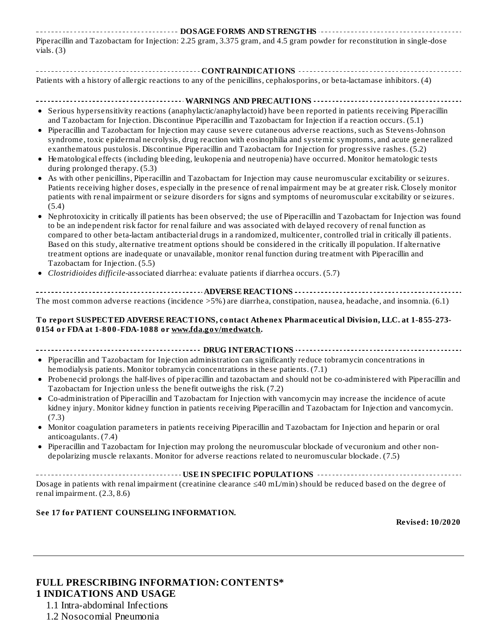| Piperacillin and Tazobactam for Injection: 2.25 gram, 3.375 gram, and 4.5 gram powder for reconstitution in single-dose |
|-------------------------------------------------------------------------------------------------------------------------|
| vials. (3)                                                                                                              |

| Patients with a history of allergic reactions to any of the penicillins, cephalosporins, or beta-lactamase inhibitors. (4)                                                                                                                        |
|---------------------------------------------------------------------------------------------------------------------------------------------------------------------------------------------------------------------------------------------------|
|                                                                                                                                                                                                                                                   |
|                                                                                                                                                                                                                                                   |
| • Serious hypersensitivity reactions (anaphylactic/anaphylactoid) have been reported in patients receiving Piperacillin                                                                                                                           |
| and Tazobactam for Injection. Discontinue Piperacillin and Tazobactam for Injection if a reaction occurs. (5.1)                                                                                                                                   |
| • Piperacillin and Tazobactam for Injection may cause severe cutaneous adverse reactions, such as Stevens-Johnson                                                                                                                                 |
| syndrome, toxic epidermal necrolysis, drug reaction with eosinophilia and systemic symptoms, and acute generalized                                                                                                                                |
| exanthematous pustulosis. Discontinue Piperacillin and Tazobactam for Injection for progressive rashes. (5.2)                                                                                                                                     |
| • Hematological effects (including bleeding, leukopenia and neutropenia) have occurred. Monitor hematologic tests<br>during prolonged therapy. (5.3)                                                                                              |
| As with other penicillins, Piperacillin and Tazobactam for Injection may cause neuromuscular excitability or seizures.<br>$\bullet$                                                                                                               |
| Patients receiving higher doses, especially in the presence of renal impairment may be at greater risk. Closely monitor                                                                                                                           |
| patients with renal impairment or seizure disorders for signs and symptoms of neuromuscular excitability or seizures.                                                                                                                             |
| (5.4)                                                                                                                                                                                                                                             |
| • Nephrotoxicity in critically ill patients has been observed; the use of Piperacillin and Tazobactam for Injection was found<br>to be an independent risk factor for renal failure and was associated with delayed recovery of renal function as |
| compared to other beta-lactam antibacterial drugs in a randomized, multicenter, controlled trial in critically ill patients.                                                                                                                      |
| Based on this study, alternative treatment options should be considered in the critically ill population. If alternative                                                                                                                          |
| treatment options are inadequate or unavailable, monitor renal function during treatment with Piperacillin and                                                                                                                                    |
| Tazobactam for Injection. (5.5)                                                                                                                                                                                                                   |
| Clostridioides difficile-associated diarrhea: evaluate patients if diarrhea occurs. (5.7)                                                                                                                                                         |
|                                                                                                                                                                                                                                                   |
| The most common adverse reactions (incidence $>5\%$ ) are diarrhea, constipation, nausea, headache, and insomnia. (6.1)                                                                                                                           |
| To report SUSPECTED ADVERSE REACTIONS, contact Athenex Pharmaceutical Division, LLC. at 1-855-273-                                                                                                                                                |
| 0154 or FDA at 1-800-FDA-1088 or www.fda.gov/medwatch.                                                                                                                                                                                            |
|                                                                                                                                                                                                                                                   |
|                                                                                                                                                                                                                                                   |
| • Piperacillin and Tazobactam for Injection administration can significantly reduce tobramycin concentrations in                                                                                                                                  |
| hemodialysis patients. Monitor tobramycin concentrations in these patients. (7.1)                                                                                                                                                                 |
| • Probenecid prolongs the half-lives of piperacillin and tazobactam and should not be co-administered with Piperacillin and<br>Tazobactam for Injection unless the benefit outweighs the risk. (7.2)                                              |

- Co-administration of Piperacillin and Tazobactam for Injection with vancomycin may increase the incidence of acute kidney injury. Monitor kidney function in patients receiving Piperacillin and Tazobactam for Injection and vancomycin. (7.3)
- Monitor coagulation parameters in patients receiving Piperacillin and Tazobactam for Injection and heparin or oral anticoagulants. (7.4)
- Piperacillin and Tazobactam for Injection may prolong the neuromuscular blockade of vecuronium and other non- $\bullet$ depolarizing muscle relaxants. Monitor for adverse reactions related to neuromuscular blockade. (7.5)

**USE IN SPECIFIC POPULATIONS** . . . . . . . . Dosage in patients with renal impairment (creatinine clearance ≤40 mL/min) should be reduced based on the degree of renal impairment. (2.3, 8.6)

#### **See 17 for PATIENT COUNSELING INFORMATION.**

**Revised: 10/2020**

### **FULL PRESCRIBING INFORMATION: CONTENTS\* 1 INDICATIONS AND USAGE**

1.1 Intra-abdominal Infections

1.2 Nosocomial Pneumonia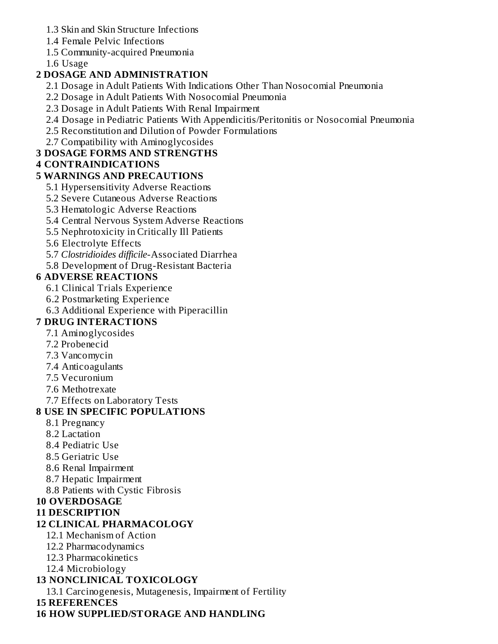- 1.3 Skin and Skin Structure Infections
- 1.4 Female Pelvic Infections
- 1.5 Community-acquired Pneumonia

1.6 Usage

### **2 DOSAGE AND ADMINISTRATION**

- 2.1 Dosage in Adult Patients With Indications Other Than Nosocomial Pneumonia
- 2.2 Dosage in Adult Patients With Nosocomial Pneumonia
- 2.3 Dosage in Adult Patients With Renal Impairment
- 2.4 Dosage in Pediatric Patients With Appendicitis/Peritonitis or Nosocomial Pneumonia
- 2.5 Reconstitution and Dilution of Powder Formulations
- 2.7 Compatibility with Aminoglycosides

### **3 DOSAGE FORMS AND STRENGTHS**

### **4 CONTRAINDICATIONS**

#### **5 WARNINGS AND PRECAUTIONS**

- 5.1 Hypersensitivity Adverse Reactions
- 5.2 Severe Cutaneous Adverse Reactions
- 5.3 Hematologic Adverse Reactions
- 5.4 Central Nervous System Adverse Reactions
- 5.5 Nephrotoxicity in Critically Ill Patients
- 5.6 Electrolyte Effects
- 5.7 *Clostridioides difficile*-Associated Diarrhea
- 5.8 Development of Drug-Resistant Bacteria

### **6 ADVERSE REACTIONS**

- 6.1 Clinical Trials Experience
- 6.2 Postmarketing Experience
- 6.3 Additional Experience with Piperacillin

### **7 DRUG INTERACTIONS**

- 7.1 Aminoglycosides
- 7.2 Probenecid
- 7.3 Vancomycin
- 7.4 Anticoagulants
- 7.5 Vecuronium
- 7.6 Methotrexate
- 7.7 Effects on Laboratory Tests

### **8 USE IN SPECIFIC POPULATIONS**

- 8.1 Pregnancy
- 8.2 Lactation
- 8.4 Pediatric Use
- 8.5 Geriatric Use
- 8.6 Renal Impairment
- 8.7 Hepatic Impairment
- 8.8 Patients with Cystic Fibrosis

### **10 OVERDOSAGE**

#### **11 DESCRIPTION**

### **12 CLINICAL PHARMACOLOGY**

- 12.1 Mechanism of Action
- 12.2 Pharmacodynamics
- 12.3 Pharmacokinetics
- 12.4 Microbiology

### **13 NONCLINICAL TOXICOLOGY**

13.1 Carcinogenesis, Mutagenesis, Impairment of Fertility

### **15 REFERENCES**

**16 HOW SUPPLIED/STORAGE AND HANDLING**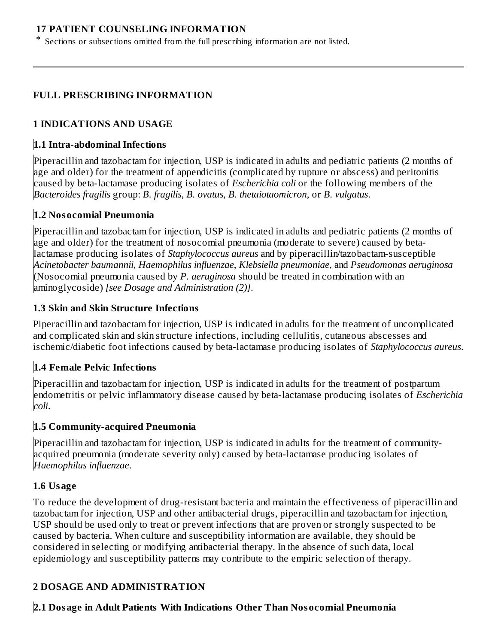#### **17 PATIENT COUNSELING INFORMATION**

\* Sections or subsections omitted from the full prescribing information are not listed.

#### **FULL PRESCRIBING INFORMATION**

#### **1 INDICATIONS AND USAGE**

#### **1.1 Intra-abdominal Infections**

Piperacillin and tazobactam for injection, USP is indicated in adults and pediatric patients (2 months of age and older) for the treatment of appendicitis (complicated by rupture or abscess) and peritonitis caused by beta-lactamase producing isolates of *Escherichia coli* or the following members of the *Bacteroides fragilis* group: *B. fragilis*, *B. ovatus*, *B. thetaiotaomicron*, or *B. vulgatus*.

#### **1.2 Nosocomial Pneumonia**

Piperacillin and tazobactam for injection, USP is indicated in adults and pediatric patients (2 months of age and older) for the treatment of nosocomial pneumonia (moderate to severe) caused by betalactamase producing isolates of *Staphylococcus aureus* and by piperacillin/tazobactam-susceptible *Acinetobacter baumannii*, *Haemophilus influenzae*, *Klebsiella pneumoniae*, and *Pseudomonas aeruginosa* (Nosocomial pneumonia caused by *P. aeruginosa* should be treated in combination with an aminoglycoside) *[see Dosage and Administration (2)]*.

#### **1.3 Skin and Skin Structure Infections**

Piperacillin and tazobactam for injection, USP is indicated in adults for the treatment of uncomplicated and complicated skin and skin structure infections, including cellulitis, cutaneous abscesses and ischemic/diabetic foot infections caused by beta-lactamase producing isolates of *Staphylococcus aureus*.

### **1.4 Female Pelvic Infections**

Piperacillin and tazobactam for injection, USP is indicated in adults for the treatment of postpartum endometritis or pelvic inflammatory disease caused by beta-lactamase producing isolates of *Escherichia coli*.

#### **1.5 Community-acquired Pneumonia**

Piperacillin and tazobactam for injection, USP is indicated in adults for the treatment of communityacquired pneumonia (moderate severity only) caused by beta-lactamase producing isolates of *Haemophilus influenzae*.

#### **1.6 Usage**

To reduce the development of drug-resistant bacteria and maintain the effectiveness of piperacillin and tazobactam for injection, USP and other antibacterial drugs, piperacillin and tazobactam for injection, USP should be used only to treat or prevent infections that are proven or strongly suspected to be caused by bacteria. When culture and susceptibility information are available, they should be considered in selecting or modifying antibacterial therapy. In the absence of such data, local epidemiology and susceptibility patterns may contribute to the empiric selection of therapy.

### **2 DOSAGE AND ADMINISTRATION**

### **2.1 Dosage in Adult Patients With Indications Other Than Nosocomial Pneumonia**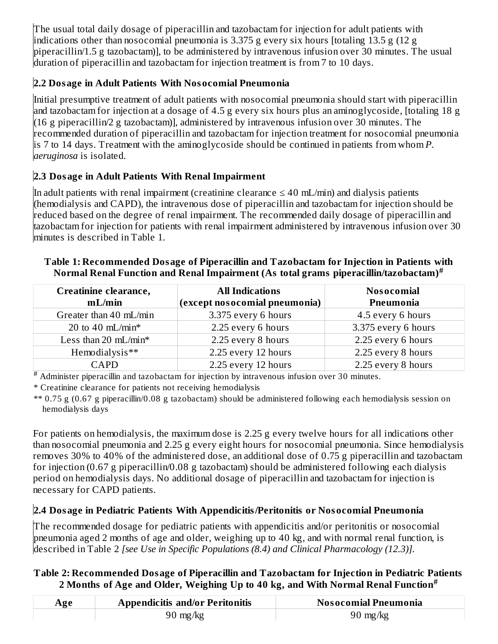The usual total daily dosage of piperacillin and tazobactam for injection for adult patients with indications other than nosocomial pneumonia is 3.375 g every six hours [totaling 13.5 g (12 g piperacillin/1.5 g tazobactam)], to be administered by intravenous infusion over 30 minutes. The usual duration of piperacillin and tazobactam for injection treatment is from 7 to 10 days.

# **2.2 Dosage in Adult Patients With Nosocomial Pneumonia**

Initial presumptive treatment of adult patients with nosocomial pneumonia should start with piperacillin and tazobactam for injection at a dosage of 4.5 g every six hours plus an aminoglycoside, [totaling 18 g (16 g piperacillin/2 g tazobactam)], administered by intravenous infusion over 30 minutes. The recommended duration of piperacillin and tazobactam for injection treatment for nosocomial pneumonia is 7 to 14 days. Treatment with the aminoglycoside should be continued in patients from whom *P. aeruginosa* is isolated.

# **2.3 Dosage in Adult Patients With Renal Impairment**

In adult patients with renal impairment (creatinine clearance  $\leq 40$  mL/min) and dialysis patients (hemodialysis and CAPD), the intravenous dose of piperacillin and tazobactam for injection should be reduced based on the degree of renal impairment. The recommended daily dosage of piperacillin and tazobactam for injection for patients with renal impairment administered by intravenous infusion over 30 minutes is described in Table 1.

| Creatinine clearance,<br><b>All Indications</b><br>(except nosocomial pneumonia)<br>mL/min |                     | <b>Nosocomial</b><br>Pneumonia |  |
|--------------------------------------------------------------------------------------------|---------------------|--------------------------------|--|
| Greater than 40 mL/min                                                                     | 3.375 every 6 hours | 4.5 every 6 hours              |  |
| 20 to 40 mL/min*                                                                           | 2.25 every 6 hours  | 3.375 every 6 hours            |  |
| Less than 20 mL/min*                                                                       | 2.25 every 8 hours  | 2.25 every 6 hours             |  |
| Hemodialysis**                                                                             | 2.25 every 12 hours | 2.25 every 8 hours             |  |
| CAPD                                                                                       | 2.25 every 12 hours | 2.25 every 8 hours             |  |

### **Table 1: Recommended Dosage of Piperacillin and Tazobactam for Injection in Patients with Normal Renal Function and Renal Impairment (As total grams piperacillin/tazobactam) #**

 $*$  Administer piperacillin and tazobactam for injection by intravenous infusion over 30 minutes.

\* Creatinine clearance for patients not receiving hemodialysis

\*\* 0.75 g (0.67 g piperacillin/0.08 g tazobactam) should be administered following each hemodialysis session on hemodialysis days

For patients on hemodialysis, the maximum dose is 2.25 g every twelve hours for all indications other than nosocomial pneumonia and 2.25 g every eight hours for nosocomial pneumonia. Since hemodialysis removes 30% to 40% of the administered dose, an additional dose of 0.75 g piperacillin and tazobactam for injection (0.67 g piperacillin/0.08 g tazobactam) should be administered following each dialysis period on hemodialysis days. No additional dosage of piperacillin and tazobactam for injection is necessary for CAPD patients.

# **2.4 Dosage in Pediatric Patients With Appendicitis/Peritonitis or Nosocomial Pneumonia**

The recommended dosage for pediatric patients with appendicitis and/or peritonitis or nosocomial pneumonia aged 2 months of age and older, weighing up to 40 kg, and with normal renal function, is described in Table 2 *[see Use in Specific Populations (8.4) and Clinical Pharmacology (12.3)].*

## **Table 2: Recommended Dosage of Piperacillin and Tazobactam for Injection in Pediatric Patients 2 Months of Age and Older, Weighing Up to 40 kg, and With Normal Renal Function #**

| Age | <b>Appendicitis and/or Peritonitis</b> | <b>Nosocomial Pneumonia</b> |
|-----|----------------------------------------|-----------------------------|
|     | $90 \text{ mg/kg}$                     | $90 \text{ mg/kg}$          |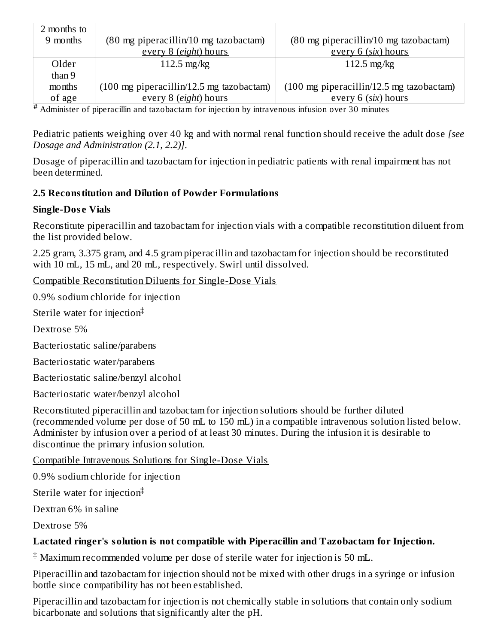| 2 months to |                                                            |                                                            |
|-------------|------------------------------------------------------------|------------------------------------------------------------|
| 9 months    | $(80 \text{ mg piperacillin}/10 \text{ mg taxobactam})$    | $(80 \text{ mg piperacillin}/10 \text{ mg taxobactam})$    |
|             | every 8 (eight) hours                                      | every 6 (six) hours                                        |
| Older       | $112.5$ mg/kg                                              | $112.5 \text{ mg/kg}$                                      |
| than 9      |                                                            |                                                            |
| months      | $(100 \text{ mg piperacillin}/12.5 \text{ mg taxobactam})$ | $(100 \text{ mg piperacillin}/12.5 \text{ mg taxobactam})$ |
| of age      | every 8 (eight) hours                                      | every 6 (six) hours                                        |

Administer of piperacillin and tazobactam for injection by intravenous infusion over 30 minutes **#**

Pediatric patients weighing over 40 kg and with normal renal function should receive the adult dose *[see Dosage and Administration (2.1, 2.2)]*.

Dosage of piperacillin and tazobactam for injection in pediatric patients with renal impairment has not been determined.

### **2.5 Reconstitution and Dilution of Powder Formulations**

### **Single-Dos e Vials**

Reconstitute piperacillin and tazobactam for injection vials with a compatible reconstitution diluent from the list provided below.

2.25 gram, 3.375 gram, and 4.5 gram piperacillin and tazobactam for injection should be reconstituted with 10 mL, 15 mL, and 20 mL, respectively. Swirl until dissolved.

Compatible Reconstitution Diluents for Single-Dose Vials

0.9% sodium chloride for injection

Sterile water for injection ‡

Dextrose 5%

Bacteriostatic saline/parabens

Bacteriostatic water/parabens

Bacteriostatic saline/benzyl alcohol

Bacteriostatic water/benzyl alcohol

Reconstituted piperacillin and tazobactam for injection solutions should be further diluted (recommended volume per dose of 50 mL to 150 mL) in a compatible intravenous solution listed below. Administer by infusion over a period of at least 30 minutes. During the infusion it is desirable to discontinue the primary infusion solution.

Compatible Intravenous Solutions for Single-Dose Vials

0.9% sodium chloride for injection

Sterile water for injection ‡

Dextran 6% in saline

Dextrose 5%

### **Lactated ringer's solution is not compatible with Piperacillin and Tazobactam for Injection.**

 $^\ddag$  Maximum recommended volume per dose of sterile water for injection is 50 mL.

Piperacillin and tazobactam for injection should not be mixed with other drugs in a syringe or infusion bottle since compatibility has not been established.

Piperacillin and tazobactam for injection is not chemically stable in solutions that contain only sodium bicarbonate and solutions that significantly alter the pH.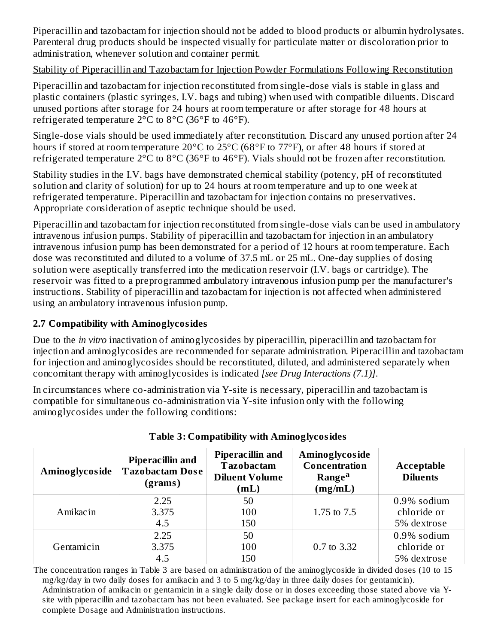Piperacillin and tazobactam for injection should not be added to blood products or albumin hydrolysates. Parenteral drug products should be inspected visually for particulate matter or discoloration prior to administration, whenever solution and container permit.

### Stability of Piperacillin and Tazobactam for Injection Powder Formulations Following Reconstitution

Piperacillin and tazobactam for injection reconstituted from single-dose vials is stable in glass and plastic containers (plastic syringes, I.V. bags and tubing) when used with compatible diluents. Discard unused portions after storage for 24 hours at room temperature or after storage for 48 hours at refrigerated temperature  $2^{\circ}$ C to  $8^{\circ}$ C (36 $^{\circ}$ F to 46 $^{\circ}$ F).

Single-dose vials should be used immediately after reconstitution. Discard any unused portion after 24 hours if stored at room temperature 20°C to 25°C (68°F to 77°F), or after 48 hours if stored at refrigerated temperature 2°C to 8°C (36°F to 46°F). Vials should not be frozen after reconstitution.

Stability studies in the I.V. bags have demonstrated chemical stability (potency, pH of reconstituted solution and clarity of solution) for up to 24 hours at room temperature and up to one week at refrigerated temperature. Piperacillin and tazobactam for injection contains no preservatives. Appropriate consideration of aseptic technique should be used.

Piperacillin and tazobactam for injection reconstituted from single-dose vials can be used in ambulatory intravenous infusion pumps. Stability of piperacillin and tazobactam for injection in an ambulatory intravenous infusion pump has been demonstrated for a period of 12 hours at room temperature. Each dose was reconstituted and diluted to a volume of 37.5 mL or 25 mL. One-day supplies of dosing solution were aseptically transferred into the medication reservoir (I.V. bags or cartridge). The reservoir was fitted to a preprogrammed ambulatory intravenous infusion pump per the manufacturer's instructions. Stability of piperacillin and tazobactam for injection is not affected when administered using an ambulatory intravenous infusion pump.

## **2.7 Compatibility with Aminoglycosides**

Due to the *in vitro* inactivation of aminoglycosides by piperacillin, piperacillin and tazobactam for injection and aminoglycosides are recommended for separate administration. Piperacillin and tazobactam for injection and aminoglycosides should be reconstituted, diluted, and administered separately when concomitant therapy with aminoglycosides is indicated *[see Drug Interactions (7.1)]*.

In circumstances where co-administration via Y-site is necessary, piperacillin and tazobactam is compatible for simultaneous co-administration via Y-site infusion only with the following aminoglycosides under the following conditions:

| Aminoglycoside | <b>Piperacillin and</b><br><b>Tazobactam Dose</b><br>(grams) | <b>Piperacillin and</b><br><b>Tazobactam</b><br><b>Diluent Volume</b><br>(mL) | Aminoglycoside<br>Concentration<br><b>Range<sup>a</sup></b><br>(mg/mL) | Acceptable<br><b>Diluents</b> |  |
|----------------|--------------------------------------------------------------|-------------------------------------------------------------------------------|------------------------------------------------------------------------|-------------------------------|--|
| Amikacin       | 2.25<br>3.375                                                | 50<br>100                                                                     | 1.75 to 7.5                                                            | $0.9\%$ sodium<br>chloride or |  |
|                | 4.5<br>2.25                                                  | 150<br>50                                                                     |                                                                        | 5% dextrose<br>$0.9\%$ sodium |  |
| Gentamicin     | 3.375                                                        | 100                                                                           | 0.7 to 3.32                                                            | chloride or                   |  |
|                | 4.5                                                          | 150                                                                           |                                                                        | 5% dextrose                   |  |

| <b>Table 3: Compatibility with Aminoglycosides</b> |
|----------------------------------------------------|
|----------------------------------------------------|

The concentration ranges in Table 3 are based on administration of the aminoglycoside in divided doses (10 to 15 mg/kg/day in two daily doses for amikacin and 3 to 5 mg/kg/day in three daily doses for gentamicin). Administration of amikacin or gentamicin in a single daily dose or in doses exceeding those stated above via Ysite with piperacillin and tazobactam has not been evaluated. See package insert for each aminoglycoside for complete Dosage and Administration instructions.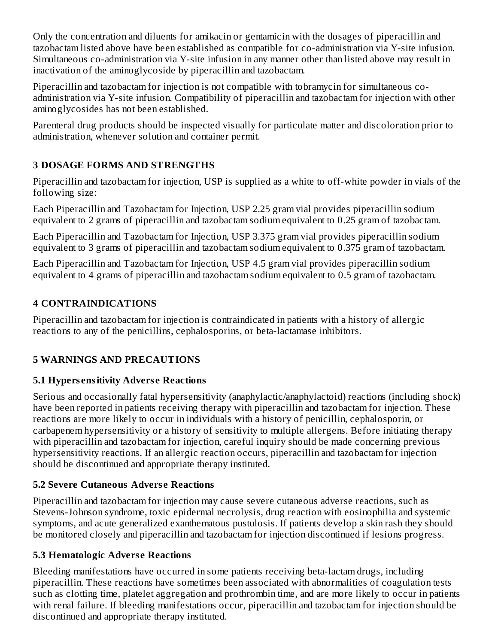Only the concentration and diluents for amikacin or gentamicin with the dosages of piperacillin and tazobactam listed above have been established as compatible for co-administration via Y-site infusion. Simultaneous co-administration via Y-site infusion in any manner other than listed above may result in inactivation of the aminoglycoside by piperacillin and tazobactam.

Piperacillin and tazobactam for injection is not compatible with tobramycin for simultaneous coadministration via Y-site infusion. Compatibility of piperacillin and tazobactam for injection with other aminoglycosides has not been established.

Parenteral drug products should be inspected visually for particulate matter and discoloration prior to administration, whenever solution and container permit.

## **3 DOSAGE FORMS AND STRENGTHS**

Piperacillin and tazobactam for injection, USP is supplied as a white to off-white powder in vials of the following size:

Each Piperacillin and Tazobactam for Injection, USP 2.25 gram vial provides piperacillin sodium equivalent to 2 grams of piperacillin and tazobactam sodium equivalent to 0.25 gram of tazobactam.

Each Piperacillin and Tazobactam for Injection, USP 3.375 gram vial provides piperacillin sodium equivalent to 3 grams of piperacillin and tazobactam sodium equivalent to 0.375 gram of tazobactam.

Each Piperacillin and Tazobactam for Injection, USP 4.5 gram vial provides piperacillin sodium equivalent to 4 grams of piperacillin and tazobactam sodium equivalent to 0.5 gram of tazobactam.

### **4 CONTRAINDICATIONS**

Piperacillin and tazobactam for injection is contraindicated in patients with a history of allergic reactions to any of the penicillins, cephalosporins, or beta-lactamase inhibitors.

## **5 WARNINGS AND PRECAUTIONS**

### **5.1 Hypers ensitivity Advers e Reactions**

Serious and occasionally fatal hypersensitivity (anaphylactic/anaphylactoid) reactions (including shock) have been reported in patients receiving therapy with piperacillin and tazobactam for injection. These reactions are more likely to occur in individuals with a history of penicillin, cephalosporin, or carbapenem hypersensitivity or a history of sensitivity to multiple allergens. Before initiating therapy with piperacillin and tazobactam for injection, careful inquiry should be made concerning previous hypersensitivity reactions. If an allergic reaction occurs, piperacillin and tazobactam for injection should be discontinued and appropriate therapy instituted.

### **5.2 Severe Cutaneous Advers e Reactions**

Piperacillin and tazobactam for injection may cause severe cutaneous adverse reactions, such as Stevens-Johnson syndrome, toxic epidermal necrolysis, drug reaction with eosinophilia and systemic symptoms, and acute generalized exanthematous pustulosis. If patients develop a skin rash they should be monitored closely and piperacillin and tazobactam for injection discontinued if lesions progress.

### **5.3 Hematologic Advers e Reactions**

Bleeding manifestations have occurred in some patients receiving beta-lactam drugs, including piperacillin. These reactions have sometimes been associated with abnormalities of coagulation tests such as clotting time, platelet aggregation and prothrombin time, and are more likely to occur in patients with renal failure. If bleeding manifestations occur, piperacillin and tazobactam for injection should be discontinued and appropriate therapy instituted.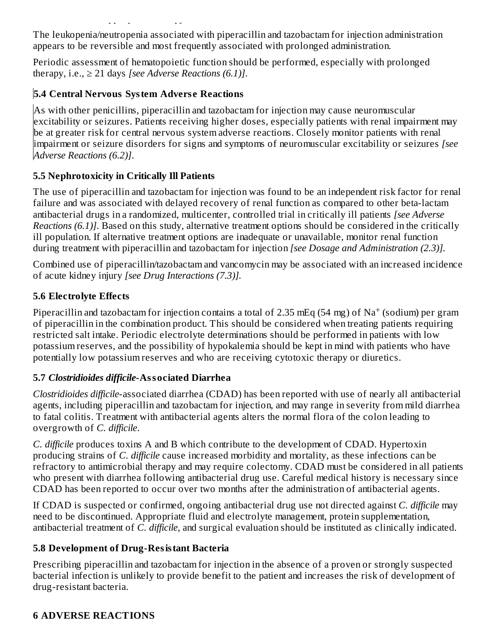discontinued and appropriate therapy instituted.

The leukopenia/neutropenia associated with piperacillin and tazobactam for injection administration appears to be reversible and most frequently associated with prolonged administration.

Periodic assessment of hematopoietic function should be performed, especially with prolonged therapy, i.e.,  $\geq 21$  days *[see Adverse Reactions (6.1)]*.

# **5.4 Central Nervous System Advers e Reactions**

As with other penicillins, piperacillin and tazobactam for injection may cause neuromuscular excitability or seizures. Patients receiving higher doses, especially patients with renal impairment may be at greater risk for central nervous system adverse reactions. Closely monitor patients with renal impairment or seizure disorders for signs and symptoms of neuromuscular excitability or seizures *[see Adverse Reactions (6.2)]*.

## **5.5 Nephrotoxicity in Critically Ill Patients**

The use of piperacillin and tazobactam for injection was found to be an independent risk factor for renal failure and was associated with delayed recovery of renal function as compared to other beta-lactam antibacterial drugs in a randomized, multicenter, controlled trial in critically ill patients *[see Adverse Reactions (6.1)]*. Based on this study, alternative treatment options should be considered in the critically ill population. If alternative treatment options are inadequate or unavailable, monitor renal function during treatment with piperacillin and tazobactam for injection *[see Dosage and Administration (2.3)].*

Combined use of piperacillin/tazobactam and vancomycin may be associated with an increased incidence of acute kidney injury *[see Drug Interactions (7.3)].*

## **5.6 Electrolyte Effects**

Piperacillin and tazobactam for injection contains a total of 2.35 mEq (54 mg) of  $\rm Na^+$  (sodium) per gram of piperacillin in the combination product. This should be considered when treating patients requiring restricted salt intake. Periodic electrolyte determinations should be performed in patients with low potassium reserves, and the possibility of hypokalemia should be kept in mind with patients who have potentially low potassium reserves and who are receiving cytotoxic therapy or diuretics.

## **5.7** *Clostridioides difficile***-Associated Diarrhea**

*Clostridioides difficile*-associated diarrhea (CDAD) has been reported with use of nearly all antibacterial agents, including piperacillin and tazobactam for injection, and may range in severity from mild diarrhea to fatal colitis. Treatment with antibacterial agents alters the normal flora of the colon leading to overgrowth of *C. difficile*.

*C. difficile* produces toxins A and B which contribute to the development of CDAD. Hypertoxin producing strains of *C. difficile* cause increased morbidity and mortality, as these infections can be refractory to antimicrobial therapy and may require colectomy. CDAD must be considered in all patients who present with diarrhea following antibacterial drug use. Careful medical history is necessary since CDAD has been reported to occur over two months after the administration of antibacterial agents.

If CDAD is suspected or confirmed, ongoing antibacterial drug use not directed against *C. difficile* may need to be discontinued. Appropriate fluid and electrolyte management, protein supplementation, antibacterial treatment of *C. difficile*, and surgical evaluation should be instituted as clinically indicated.

## **5.8 Development of Drug-Resistant Bacteria**

Prescribing piperacillin and tazobactam for injection in the absence of a proven or strongly suspected bacterial infection is unlikely to provide benefit to the patient and increases the risk of development of drug-resistant bacteria.

## **6 ADVERSE REACTIONS**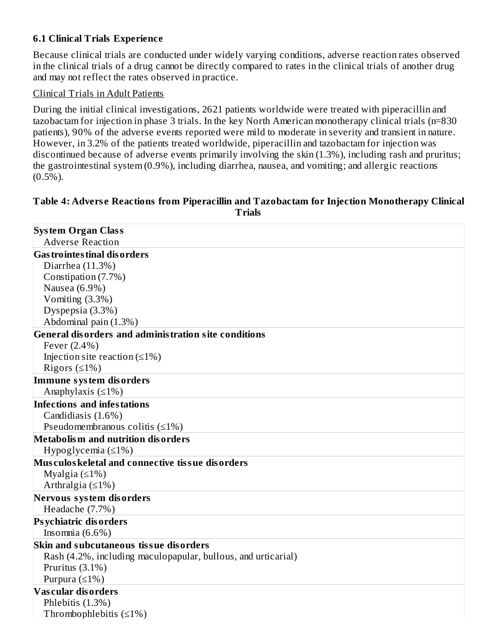### **6.1 Clinical Trials Experience**

Because clinical trials are conducted under widely varying conditions, adverse reaction rates observed in the clinical trials of a drug cannot be directly compared to rates in the clinical trials of another drug and may not reflect the rates observed in practice.

#### Clinical Trials in Adult Patients

During the initial clinical investigations, 2621 patients worldwide were treated with piperacillin and tazobactam for injection in phase 3 trials. In the key North American monotherapy clinical trials (n=830 patients), 90% of the adverse events reported were mild to moderate in severity and transient in nature. However, in 3.2% of the patients treated worldwide, piperacillin and tazobactam for injection was discontinued because of adverse events primarily involving the skin (1.3%), including rash and pruritus; the gastrointestinal system (0.9%), including diarrhea, nausea, and vomiting; and allergic reactions  $(0.5\%)$ .

#### **Table 4: Advers e Reactions from Piperacillin and Tazobactam for Injection Monotherapy Clinical Trials**

| <b>System Organ Class</b>                                     |
|---------------------------------------------------------------|
| <b>Adverse Reaction</b>                                       |
| <b>Gas trointes tinal dis orders</b>                          |
| Diarrhea (11.3%)                                              |
| Constipation (7.7%)                                           |
| Nausea (6.9%)                                                 |
| Vomiting (3.3%)                                               |
| Dyspepsia (3.3%)                                              |
| Abdominal pain (1.3%)                                         |
| <b>General disorders and administration site conditions</b>   |
| Fever (2.4%)                                                  |
| Injection site reaction $(≤1%)$                               |
| Rigors $(≤1%)$                                                |
| Immune system disorders                                       |
| Anaphylaxis $(≤1%)$                                           |
| Infections and infestations                                   |
| Candidiasis (1.6%)                                            |
| Pseudomembranous colitis $(≤1%)$                              |
| Metabolism and nutrition disorders                            |
| Hypoglycemia $(≤1%)$                                          |
| Musculos keletal and connective tissue disorders              |
| Myalgia $(≤1%)$                                               |
| Arthralgia $(≤1%)$                                            |
| Nervous system disorders                                      |
| Headache (7.7%)                                               |
| <b>Psychiatric disorders</b>                                  |
| Insomnia $(6.6\%)$                                            |
| Skin and subcutaneous tissue disorders                        |
| Rash (4.2%, including maculopapular, bullous, and urticarial) |
| Pruritus (3.1%)                                               |
| Purpura $(≤1%)$                                               |
| Vascular disorders                                            |
| Phlebitis (1.3%)                                              |
| Thrombophlebitis $(\leq 1\%)$                                 |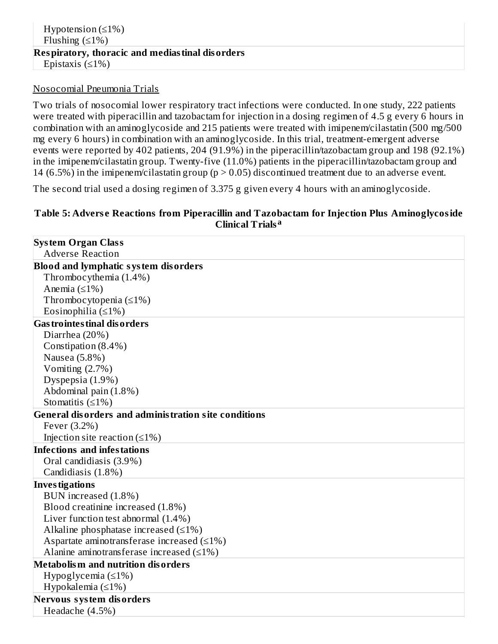#### Nosocomial Pneumonia Trials

Two trials of nosocomial lower respiratory tract infections were conducted. In one study, 222 patients were treated with piperacillin and tazobactam for injection in a dosing regimen of 4.5 g every 6 hours in combination with an aminoglycoside and 215 patients were treated with imipenem/cilastatin (500 mg/500 mg every 6 hours) in combination with an aminoglycoside. In this trial, treatment-emergent adverse events were reported by 402 patients, 204 (91.9%) in the piperacillin/tazobactam group and 198 (92.1%) in the imipenem/cilastatin group. Twenty-five (11.0%) patients in the piperacillin/tazobactam group and 14 (6.5%) in the imipenem/cilastatin group ( $p > 0.05$ ) discontinued treatment due to an adverse event.

The second trial used a dosing regimen of 3.375 g given every 4 hours with an aminoglycoside.

#### **Table 5: Advers e Reactions from Piperacillin and Tazobactam for Injection Plus Aminoglycoside Clinical Trials a**

| <b>System Organ Class</b>                            |
|------------------------------------------------------|
| <b>Adverse Reaction</b>                              |
| <b>Blood and lymphatic system disorders</b>          |
| Thrombocythemia (1.4%)                               |
| Anemia $(≤1%)$                                       |
| Thrombocytopenia $(\leq 1\%)$                        |
| Eosinophilia ( $\leq$ 1%)                            |
| <b>Gas trointes tinal dis orders</b>                 |
| Diarrhea (20%)                                       |
| Constipation (8.4%)                                  |
| Nausea (5.8%)                                        |
| Vomiting $(2.7%)$                                    |
| Dyspepsia (1.9%)                                     |
| Abdominal pain (1.8%)                                |
| Stomatitis $(≤1%)$                                   |
| General disorders and administration site conditions |
| Fever (3.2%)                                         |
| Injection site reaction $(≤1%)$                      |
| Infections and infestations                          |
| Oral candidiasis (3.9%)                              |
| Candidiasis (1.8%)                                   |
| <b>Investigations</b>                                |
| BUN increased (1.8%)                                 |
| Blood creatinine increased (1.8%)                    |
| Liver function test abnormal (1.4%)                  |
| Alkaline phosphatase increased $(\leq 1\%)$          |
| Aspartate aminotransferase increased $(\leq 1\%)$    |
| Alanine aminotransferase increased $(≤1%)$           |
| Metabolism and nutrition disorders                   |
| Hypoglycemia $(\leq 1\%)$                            |
| Hypokalemia $(\leq 1\%)$                             |
| Nervous system disorders                             |
| Headache (4.5%)                                      |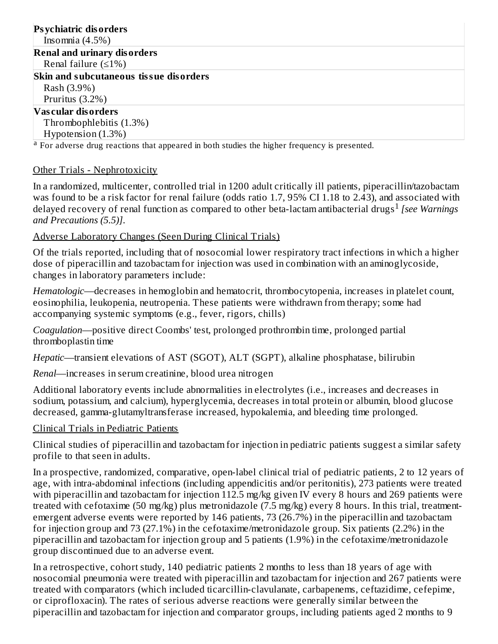### **Psychiatric disorders**

Insomnia (4.5%)

#### **Renal and urinary disorders**

Renal failure (≤1%)

#### **Skin and subcutaneous tissue disorders**

Rash (3.9%) Pruritus (3.2%)

### **Vas cular disorders**

Thrombophlebitis (1.3%)

Hypotension (1.3%)

<sup>a</sup> For adverse drug reactions that appeared in both studies the higher frequency is presented.

### Other Trials - Nephrotoxicity

In a randomized, multicenter, controlled trial in 1200 adult critically ill patients, piperacillin/tazobactam was found to be a risk factor for renal failure (odds ratio 1.7, 95% CI 1.18 to 2.43), and associated with delayed recovery of renal function as compared to other beta-lactam antibacterial drugs<sup>1</sup> [see Warnings *and Precautions (5.5)]*.

### Adverse Laboratory Changes (Seen During Clinical Trials)

Of the trials reported, including that of nosocomial lower respiratory tract infections in which a higher dose of piperacillin and tazobactam for injection was used in combination with an aminoglycoside, changes in laboratory parameters include:

*Hematologic*—decreases in hemoglobin and hematocrit, thrombocytopenia, increases in platelet count, eosinophilia, leukopenia, neutropenia. These patients were withdrawn from therapy; some had accompanying systemic symptoms (e.g., fever, rigors, chills)

*Coagulation*—positive direct Coombs' test, prolonged prothrombin time, prolonged partial thromboplastin time

*Hepatic*—transient elevations of AST (SGOT), ALT (SGPT), alkaline phosphatase, bilirubin

*Renal*—increases in serum creatinine, blood urea nitrogen

Additional laboratory events include abnormalities in electrolytes (i.e., increases and decreases in sodium, potassium, and calcium), hyperglycemia, decreases in total protein or albumin, blood glucose decreased, gamma-glutamyltransferase increased, hypokalemia, and bleeding time prolonged.

### Clinical Trials in Pediatric Patients

Clinical studies of piperacillin and tazobactam for injection in pediatric patients suggest a similar safety profile to that seen in adults.

In a prospective, randomized, comparative, open-label clinical trial of pediatric patients, 2 to 12 years of age, with intra-abdominal infections (including appendicitis and/or peritonitis), 273 patients were treated with piperacillin and tazobactam for injection 112.5 mg/kg given IV every 8 hours and 269 patients were treated with cefotaxime (50 mg/kg) plus metronidazole (7.5 mg/kg) every 8 hours. In this trial, treatmentemergent adverse events were reported by 146 patients, 73 (26.7%) in the piperacillin and tazobactam for injection group and 73 (27.1%) in the cefotaxime/metronidazole group. Six patients (2.2%) in the piperacillin and tazobactam for injection group and 5 patients (1.9%) in the cefotaxime/metronidazole group discontinued due to an adverse event.

In a retrospective, cohort study, 140 pediatric patients 2 months to less than 18 years of age with nosocomial pneumonia were treated with piperacillin and tazobactam for injection and 267 patients were treated with comparators (which included ticarcillin-clavulanate, carbapenems, ceftazidime, cefepime, or ciprofloxacin). The rates of serious adverse reactions were generally similar between the piperacillin and tazobactam for injection and comparator groups, including patients aged 2 months to 9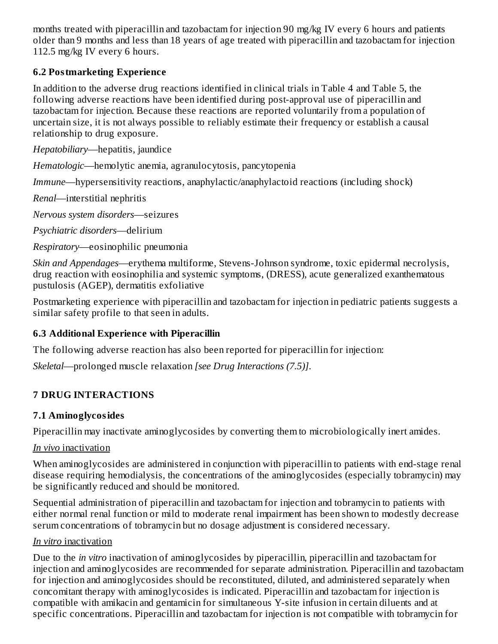months treated with piperacillin and tazobactam for injection 90 mg/kg IV every 6 hours and patients older than 9 months and less than 18 years of age treated with piperacillin and tazobactam for injection 112.5 mg/kg IV every 6 hours.

### **6.2 Postmarketing Experience**

In addition to the adverse drug reactions identified in clinical trials in Table 4 and Table 5, the following adverse reactions have been identified during post-approval use of piperacillin and tazobactam for injection. Because these reactions are reported voluntarily from a population of uncertain size, it is not always possible to reliably estimate their frequency or establish a causal relationship to drug exposure.

*Hepatobiliary*—hepatitis, jaundice

*Hematologic*—hemolytic anemia, agranulocytosis, pancytopenia

*Immune*—hypersensitivity reactions, anaphylactic/anaphylactoid reactions (including shock)

*Renal*—interstitial nephritis

*Nervous system disorders*—seizures

*Psychiatric disorders*—delirium

*Respiratory*—eosinophilic pneumonia

*Skin and Appendages*—erythema multiforme, Stevens-Johnson syndrome, toxic epidermal necrolysis, drug reaction with eosinophilia and systemic symptoms, (DRESS), acute generalized exanthematous pustulosis (AGEP), dermatitis exfoliative

Postmarketing experience with piperacillin and tazobactam for injection in pediatric patients suggests a similar safety profile to that seen in adults.

### **6.3 Additional Experience with Piperacillin**

The following adverse reaction has also been reported for piperacillin for injection:

*Skeletal*—prolonged muscle relaxation *[see Drug Interactions (7.5)]*.

### **7 DRUG INTERACTIONS**

### **7.1 Aminoglycosides**

Piperacillin may inactivate aminoglycosides by converting them to microbiologically inert amides.

### *In vivo* inactivation

When aminoglycosides are administered in conjunction with piperacillin to patients with end-stage renal disease requiring hemodialysis, the concentrations of the aminoglycosides (especially tobramycin) may be significantly reduced and should be monitored.

Sequential administration of piperacillin and tazobactam for injection and tobramycin to patients with either normal renal function or mild to moderate renal impairment has been shown to modestly decrease serum concentrations of tobramycin but no dosage adjustment is considered necessary.

### *In vitro* inactivation

Due to the *in vitro* inactivation of aminoglycosides by piperacillin, piperacillin and tazobactam for injection and aminoglycosides are recommended for separate administration. Piperacillin and tazobactam for injection and aminoglycosides should be reconstituted, diluted, and administered separately when concomitant therapy with aminoglycosides is indicated. Piperacillin and tazobactam for injection is compatible with amikacin and gentamicin for simultaneous Y-site infusion in certain diluents and at specific concentrations. Piperacillin and tazobactam for injection is not compatible with tobramycin for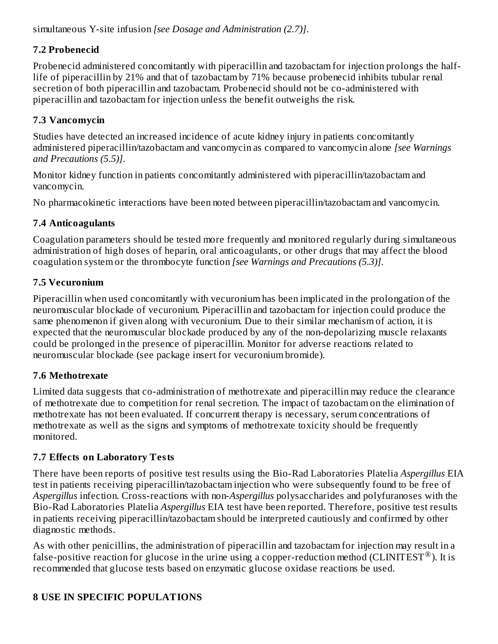simultaneous Y-site infusion *[see Dosage and Administration (2.7)]*.

## **7.2 Probenecid**

Probenecid administered concomitantly with piperacillin and tazobactam for injection prolongs the halflife of piperacillin by 21% and that of tazobactam by 71% because probenecid inhibits tubular renal secretion of both piperacillin and tazobactam. Probenecid should not be co-administered with piperacillin and tazobactam for injection unless the benefit outweighs the risk.

## **7.3 Vancomycin**

Studies have detected an increased incidence of acute kidney injury in patients concomitantly administered piperacillin/tazobactam and vancomycin as compared to vancomycin alone *[see Warnings and Precautions (5.5)]*.

Monitor kidney function in patients concomitantly administered with piperacillin/tazobactam and vancomycin.

No pharmacokinetic interactions have been noted between piperacillin/tazobactam and vancomycin.

## **7.4 Anticoagulants**

Coagulation parameters should be tested more frequently and monitored regularly during simultaneous administration of high doses of heparin, oral anticoagulants, or other drugs that may affect the blood coagulation system or the thrombocyte function *[see Warnings and Precautions (5.3)]*.

## **7.5 Vecuronium**

Piperacillin when used concomitantly with vecuronium has been implicated in the prolongation of the neuromuscular blockade of vecuronium. Piperacillin and tazobactam for injection could produce the same phenomenon if given along with vecuronium. Due to their similar mechanism of action, it is expected that the neuromuscular blockade produced by any of the non-depolarizing muscle relaxants could be prolonged in the presence of piperacillin. Monitor for adverse reactions related to neuromuscular blockade (see package insert for vecuronium bromide).

## **7.6 Methotrexate**

Limited data suggests that co-administration of methotrexate and piperacillin may reduce the clearance of methotrexate due to competition for renal secretion. The impact of tazobactam on the elimination of methotrexate has not been evaluated. If concurrent therapy is necessary, serum concentrations of methotrexate as well as the signs and symptoms of methotrexate toxicity should be frequently monitored.

## **7.7 Effects on Laboratory Tests**

There have been reports of positive test results using the Bio-Rad Laboratories Platelia *Aspergillus* EIA test in patients receiving piperacillin/tazobactam injection who were subsequently found to be free of *Aspergillus* infection. Cross-reactions with non-*Aspergillus* polysaccharides and polyfuranoses with the Bio-Rad Laboratories Platelia *Aspergillus* EIA test have been reported. Therefore, positive test results in patients receiving piperacillin/tazobactam should be interpreted cautiously and confirmed by other diagnostic methods.

As with other penicillins, the administration of piperacillin and tazobactam for injection may result in a false-positive reaction for glucose in the urine using a copper-reduction method (CLINITEST®). It is recommended that glucose tests based on enzymatic glucose oxidase reactions be used.

## **8 USE IN SPECIFIC POPULATIONS**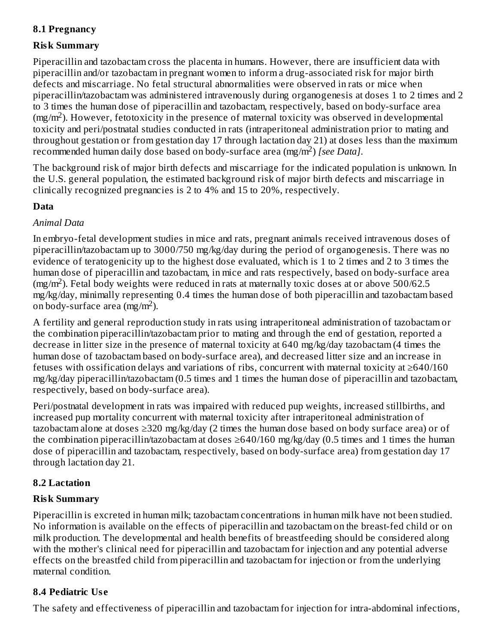## **8.1 Pregnancy**

### **Risk Summary**

Piperacillin and tazobactam cross the placenta in humans. However, there are insufficient data with piperacillin and/or tazobactam in pregnant women to inform a drug-associated risk for major birth defects and miscarriage. No fetal structural abnormalities were observed in rats or mice when piperacillin/tazobactam was administered intravenously during organogenesis at doses 1 to 2 times and 2 to 3 times the human dose of piperacillin and tazobactam, respectively, based on body-surface area  $(mg/m<sup>2</sup>)$ . However, fetotoxicity in the presence of maternal toxicity was observed in developmental toxicity and peri/postnatal studies conducted in rats (intraperitoneal administration prior to mating and throughout gestation or from gestation day 17 through lactation day 21) at doses less than the maximum recommended human daily dose based on body-surface area (mg/m<sup>2</sup>) *[see Data]*.

The background risk of major birth defects and miscarriage for the indicated population is unknown. In the U.S. general population, the estimated background risk of major birth defects and miscarriage in clinically recognized pregnancies is 2 to 4% and 15 to 20%, respectively.

### **Data**

### *Animal Data*

In embryo-fetal development studies in mice and rats, pregnant animals received intravenous doses of piperacillin/tazobactam up to 3000/750 mg/kg/day during the period of organogenesis. There was no evidence of teratogenicity up to the highest dose evaluated, which is 1 to 2 times and 2 to 3 times the human dose of piperacillin and tazobactam, in mice and rats respectively, based on body-surface area  $(mg/m<sup>2</sup>)$ . Fetal body weights were reduced in rats at maternally toxic doses at or above 500/62.5 mg/kg/day, minimally representing 0.4 times the human dose of both piperacillin and tazobactam based on body-surface area  $(mg/m<sup>2</sup>)$ .

A fertility and general reproduction study in rats using intraperitoneal administration of tazobactam or the combination piperacillin/tazobactam prior to mating and through the end of gestation, reported a decrease in litter size in the presence of maternal toxicity at 640 mg/kg/day tazobactam (4 times the human dose of tazobactam based on body-surface area), and decreased litter size and an increase in fetuses with ossification delays and variations of ribs, concurrent with maternal toxicity at  $\geq$ 640/160 mg/kg/day piperacillin/tazobactam (0.5 times and 1 times the human dose of piperacillin and tazobactam, respectively, based on body-surface area).

Peri/postnatal development in rats was impaired with reduced pup weights, increased stillbirths, and increased pup mortality concurrent with maternal toxicity after intraperitoneal administration of tazobactam alone at doses ≥320 mg/kg/day (2 times the human dose based on body surface area) or of the combination piperacillin/tazobactam at doses ≥640/160 mg/kg/day (0.5 times and 1 times the human dose of piperacillin and tazobactam, respectively, based on body-surface area) from gestation day 17 through lactation day 21.

### **8.2 Lactation**

### **Risk Summary**

Piperacillin is excreted in human milk; tazobactam concentrations in human milk have not been studied. No information is available on the effects of piperacillin and tazobactam on the breast-fed child or on milk production. The developmental and health benefits of breastfeeding should be considered along with the mother's clinical need for piperacillin and tazobactam for injection and any potential adverse effects on the breastfed child from piperacillin and tazobactam for injection or from the underlying maternal condition.

## **8.4 Pediatric Us e**

The safety and effectiveness of piperacillin and tazobactam for injection for intra-abdominal infections,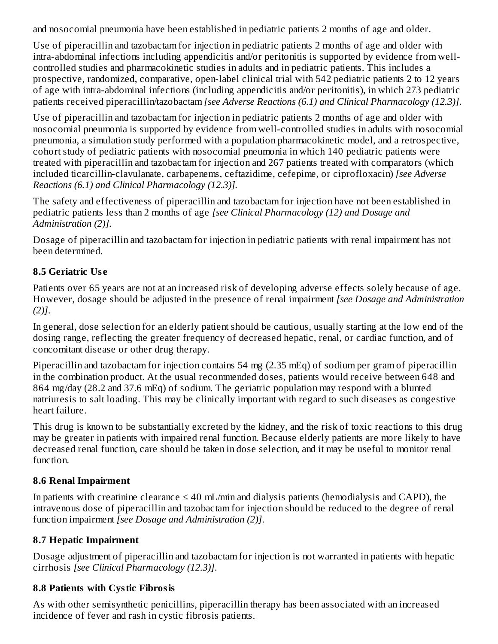and nosocomial pneumonia have been established in pediatric patients 2 months of age and older.

Use of piperacillin and tazobactam for injection in pediatric patients 2 months of age and older with intra-abdominal infections including appendicitis and/or peritonitis is supported by evidence from wellcontrolled studies and pharmacokinetic studies in adults and in pediatric patients. This includes a prospective, randomized, comparative, open-label clinical trial with 542 pediatric patients 2 to 12 years of age with intra-abdominal infections (including appendicitis and/or peritonitis), in which 273 pediatric patients received piperacillin/tazobactam *[see Adverse Reactions (6.1) and Clinical Pharmacology (12.3)]*.

Use of piperacillin and tazobactam for injection in pediatric patients 2 months of age and older with nosocomial pneumonia is supported by evidence from well-controlled studies in adults with nosocomial pneumonia, a simulation study performed with a population pharmacokinetic model, and a retrospective, cohort study of pediatric patients with nosocomial pneumonia in which 140 pediatric patients were treated with piperacillin and tazobactam for injection and 267 patients treated with comparators (which included ticarcillin-clavulanate, carbapenems, ceftazidime, cefepime, or ciprofloxacin) *[see Adverse Reactions (6.1) and Clinical Pharmacology (12.3)].*

The safety and effectiveness of piperacillin and tazobactam for injection have not been established in pediatric patients less than 2 months of age *[see Clinical Pharmacology (12) and Dosage and Administration (2)]*.

Dosage of piperacillin and tazobactam for injection in pediatric patients with renal impairment has not been determined.

## **8.5 Geriatric Us e**

Patients over 65 years are not at an increased risk of developing adverse effects solely because of age. However, dosage should be adjusted in the presence of renal impairment *[see Dosage and Administration (2)]*.

In general, dose selection for an elderly patient should be cautious, usually starting at the low end of the dosing range, reflecting the greater frequency of decreased hepatic, renal, or cardiac function, and of concomitant disease or other drug therapy.

Piperacillin and tazobactam for injection contains 54 mg (2.35 mEq) of sodium per gram of piperacillin in the combination product. At the usual recommended doses, patients would receive between 648 and 864 mg/day (28.2 and 37.6 mEq) of sodium. The geriatric population may respond with a blunted natriuresis to salt loading. This may be clinically important with regard to such diseases as congestive heart failure.

This drug is known to be substantially excreted by the kidney, and the risk of toxic reactions to this drug may be greater in patients with impaired renal function. Because elderly patients are more likely to have decreased renal function, care should be taken in dose selection, and it may be useful to monitor renal function.

### **8.6 Renal Impairment**

In patients with creatinine clearance  $\leq 40$  mL/min and dialysis patients (hemodialysis and CAPD), the intravenous dose of piperacillin and tazobactam for injection should be reduced to the degree of renal function impairment *[see Dosage and Administration (2)]*.

## **8.7 Hepatic Impairment**

Dosage adjustment of piperacillin and tazobactam for injection is not warranted in patients with hepatic cirrhosis *[see Clinical Pharmacology (12.3)]*.

### **8.8 Patients with Cystic Fibrosis**

As with other semisynthetic penicillins, piperacillin therapy has been associated with an increased incidence of fever and rash in cystic fibrosis patients.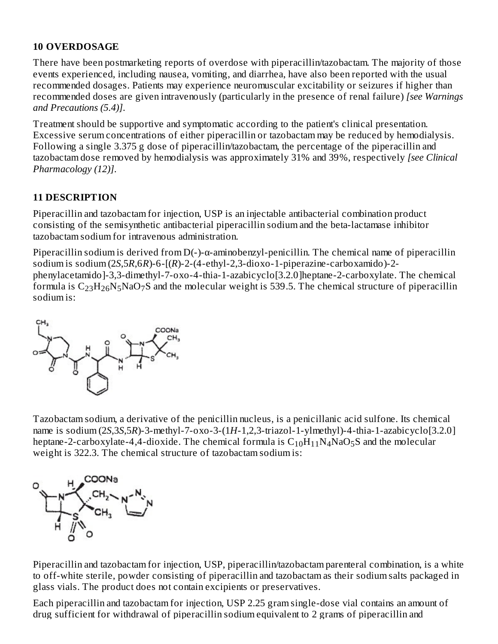### **10 OVERDOSAGE**

There have been postmarketing reports of overdose with piperacillin/tazobactam. The majority of those events experienced, including nausea, vomiting, and diarrhea, have also been reported with the usual recommended dosages. Patients may experience neuromuscular excitability or seizures if higher than recommended doses are given intravenously (particularly in the presence of renal failure) *[see Warnings and Precautions (5.4)]*.

Treatment should be supportive and symptomatic according to the patient's clinical presentation. Excessive serum concentrations of either piperacillin or tazobactam may be reduced by hemodialysis. Following a single 3.375 g dose of piperacillin/tazobactam, the percentage of the piperacillin and tazobactam dose removed by hemodialysis was approximately 31% and 39%, respectively *[see Clinical Pharmacology (12)]*.

### **11 DESCRIPTION**

Piperacillin and tazobactam for injection, USP is an injectable antibacterial combination product consisting of the semisynthetic antibacterial piperacillin sodium and the beta-lactamase inhibitor tazobactam sodium for intravenous administration.

Piperacillin sodium is derived from D(-)-α-aminobenzyl-penicillin. The chemical name of piperacillin sodium is sodium (2*S*,5*R*,6*R*)-6-[(*R*)-2-(4-ethyl-2,3-dioxo-1-piperazine-carboxamido)-2 phenylacetamido]-3,3-dimethyl-7-oxo-4-thia-1-azabicyclo[3.2.0]heptane-2-carboxylate. The chemical formula is  $\rm{C_{23}H_{26}N_5NaO_7S}$  and the molecular weight is 539.5. The chemical structure of piperacillin sodium is:



Tazobactam sodium, a derivative of the penicillin nucleus, is a penicillanic acid sulfone. Its chemical name is sodium (2*S*,3*S*,5*R*)-3-methyl-7-oxo-3-(1*H*-1,2,3-triazol-1-ylmethyl)-4-thia-1-azabicyclo[3.2.0] heptane-2-carboxylate-4,4-dioxide. The chemical formula is  $\rm C_{10}H_{11}N_4NaO_5S$  and the molecular weight is 322.3. The chemical structure of tazobactam sodium is:



Piperacillin and tazobactam for injection, USP, piperacillin/tazobactam parenteral combination, is a white to off-white sterile, powder consisting of piperacillin and tazobactam as their sodium salts packaged in glass vials. The product does not contain excipients or preservatives.

Each piperacillin and tazobactam for injection, USP 2.25 gram single-dose vial contains an amount of drug sufficient for withdrawal of piperacillin sodium equivalent to 2 grams of piperacillin and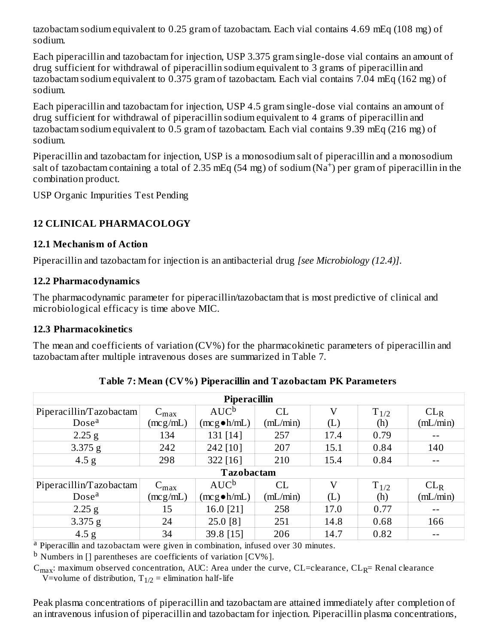tazobactam sodium equivalent to 0.25 gram of tazobactam. Each vial contains 4.69 mEq (108 mg) of sodium.

Each piperacillin and tazobactam for injection, USP 3.375 gram single-dose vial contains an amount of drug sufficient for withdrawal of piperacillin sodium equivalent to 3 grams of piperacillin and tazobactam sodium equivalent to 0.375 gram of tazobactam. Each vial contains 7.04 mEq (162 mg) of sodium.

Each piperacillin and tazobactam for injection, USP 4.5 gram single-dose vial contains an amount of drug sufficient for withdrawal of piperacillin sodium equivalent to 4 grams of piperacillin and tazobactam sodium equivalent to 0.5 gram of tazobactam. Each vial contains 9.39 mEq (216 mg) of sodium.

Piperacillin and tazobactam for injection, USP is a monosodium salt of piperacillin and a monosodium salt of tazobactam containing a total of 2.35 mEq (54 mg) of sodium  $(Na^+)$  per gram of piperacillin in the combination product.

USP Organic Impurities Test Pending

### **12 CLINICAL PHARMACOLOGY**

### **12.1 Mechanism of Action**

Piperacillin and tazobactam for injection is an antibacterial drug *[see Microbiology (12.4)]*.

### **12.2 Pharmacodynamics**

The pharmacodynamic parameter for piperacillin/tazobactam that is most predictive of clinical and microbiological efficacy is time above MIC.

### **12.3 Pharmacokinetics**

The mean and coefficients of variation (CV%) for the pharmacokinetic parameters of piperacillin and tazobactam after multiple intravenous doses are summarized in Table 7.

| <b>Piperacillin</b>     |                  |                      |          |          |           |                 |
|-------------------------|------------------|----------------------|----------|----------|-----------|-----------------|
| Piperacillin/Tazobactam | $C_{\text{max}}$ | $AUC^b$              | CL       | V        | $T_{1/2}$ | CL <sub>R</sub> |
| Dose <sup>a</sup>       | (mcg/mL)         | $(mcg \bullet h/mL)$ | (mL/min) | (L)      | (h)       | (mL/min)        |
| $2.25$ g                | 134              | 131 [14]             | 257      | 17.4     | 0.79      | $- -$           |
| 3.375 g                 | 242              | 242 [10]             | 207      | 15.1     | 0.84      | 140             |
| 4.5 g                   | 298              | 322 [16]             | 210      | 15.4     | 0.84      |                 |
| <b>Tazobactam</b>       |                  |                      |          |          |           |                 |
| Piperacillin/Tazobactam | $C_{\text{max}}$ | $AUC^b$              | CL       | $\rm _V$ | $T_{1/2}$ | CL <sub>R</sub> |
| Dose <sup>a</sup>       | (mcg/mL)         | $(mcg \bullet h/mL)$ | (mL/min) | (L)      | (h)       | (mL/min)        |
| $2.25$ g                | 15               | 16.0 [21]            | 258      | 17.0     | 0.77      | $- -$           |
| 3.375 g                 | 24               | 25.0 [8]             | 251      | 14.8     | 0.68      | 166             |
| 4.5 <sub>g</sub>        | 34               | 39.8 [15]            | 206      | 14.7     | 0.82      |                 |

**Table 7: Mean (CV%) Piperacillin and Tazobactam PK Parameters**

<sup>a</sup> Piperacillin and tazobactam were given in combination, infused over 30 minutes.

 $^{\rm b}$  Numbers in [] parentheses are coefficients of variation [CV%].

 $\rm{C_{max}:}$  maximum observed concentration, AUC: Area under the curve, CL=clearance, CL<sub>R</sub>= Renal clearance V=volume of distribution,  $T_{1/2}$  = elimination half-life

Peak plasma concentrations of piperacillin and tazobactam are attained immediately after completion of an intravenous infusion of piperacillin and tazobactam for injection. Piperacillin plasma concentrations,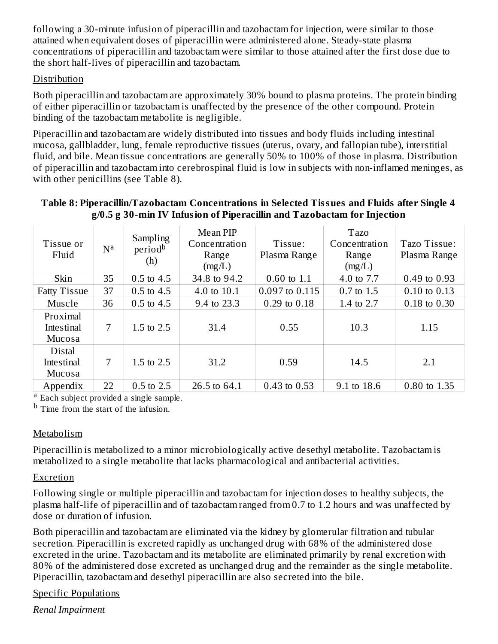following a 30-minute infusion of piperacillin and tazobactam for injection, were similar to those attained when equivalent doses of piperacillin were administered alone. Steady-state plasma concentrations of piperacillin and tazobactam were similar to those attained after the first dose due to the short half-lives of piperacillin and tazobactam.

### Distribution

Both piperacillin and tazobactam are approximately 30% bound to plasma proteins. The protein binding of either piperacillin or tazobactam is unaffected by the presence of the other compound. Protein binding of the tazobactam metabolite is negligible.

Piperacillin and tazobactam are widely distributed into tissues and body fluids including intestinal mucosa, gallbladder, lung, female reproductive tissues (uterus, ovary, and fallopian tube), interstitial fluid, and bile. Mean tissue concentrations are generally 50% to 100% of those in plasma. Distribution of piperacillin and tazobactam into cerebrospinal fluid is low in subjects with non-inflamed meninges, as with other penicillins (see Table 8).

### **Table 8: Piperacillin/Tazobactam Concentrations in Selected Tissues and Fluids after Single 4 g/0.5 g 30-min IV Infusion of Piperacillin and Tazobactam for Injection**

| Tissue or<br>Fluid                    | N <sup>a</sup> | Sampling<br>period <sup>b</sup><br>(h) | <b>Mean PIP</b><br>Concentration<br>Range<br>(mg/L) | Tissue:<br>Plasma Range | <b>Tazo</b><br>Concentration<br>Range<br>(mg/L) | Tazo Tissue:<br>Plasma Range |
|---------------------------------------|----------------|----------------------------------------|-----------------------------------------------------|-------------------------|-------------------------------------------------|------------------------------|
| Skin                                  | 35             | $0.5$ to 4.5                           | 34.8 to 94.2                                        | $0.60$ to $1.1$         | 4.0 to 7.7                                      | 0.49 to 0.93                 |
| <b>Fatty Tissue</b>                   | 37             | $0.5$ to $4.5$                         | 4.0 to 10.1                                         | 0.097 to 0.115          | 0.7 to 1.5                                      | $0.10$ to $0.13$             |
| Muscle                                | 36             | $0.5$ to 4.5                           | 9.4 to 23.3                                         | $0.29$ to $0.18$        | 1.4 to 2.7                                      | 0.18 to 0.30                 |
| Proximal<br>Intestinal<br>Mucosa      | 7              | 1.5 to 2.5                             | 31.4                                                | 0.55                    | 10.3                                            | 1.15                         |
| <b>Distal</b><br>Intestinal<br>Mucosa | 7              | 1.5 to 2.5                             | 31.2                                                | 0.59                    | 14.5                                            | 2.1                          |
| Appendix                              | 22             | 0.5 to 2.5                             | 26.5 to 64.1                                        | $0.43$ to $0.53$        | 9.1 to 18.6                                     | 0.80 to 1.35                 |

<sup>a</sup> Each subject provided a single sample.

<sup>b</sup> Time from the start of the infusion.

### Metabolism

Piperacillin is metabolized to a minor microbiologically active desethyl metabolite. Tazobactam is metabolized to a single metabolite that lacks pharmacological and antibacterial activities.

### **Excretion**

Following single or multiple piperacillin and tazobactam for injection doses to healthy subjects, the plasma half-life of piperacillin and of tazobactam ranged from 0.7 to 1.2 hours and was unaffected by dose or duration of infusion.

Both piperacillin and tazobactam are eliminated via the kidney by glomerular filtration and tubular secretion. Piperacillin is excreted rapidly as unchanged drug with 68% of the administered dose excreted in the urine. Tazobactam and its metabolite are eliminated primarily by renal excretion with 80% of the administered dose excreted as unchanged drug and the remainder as the single metabolite. Piperacillin, tazobactam and desethyl piperacillin are also secreted into the bile.

### Specific Populations

*Renal Impairment*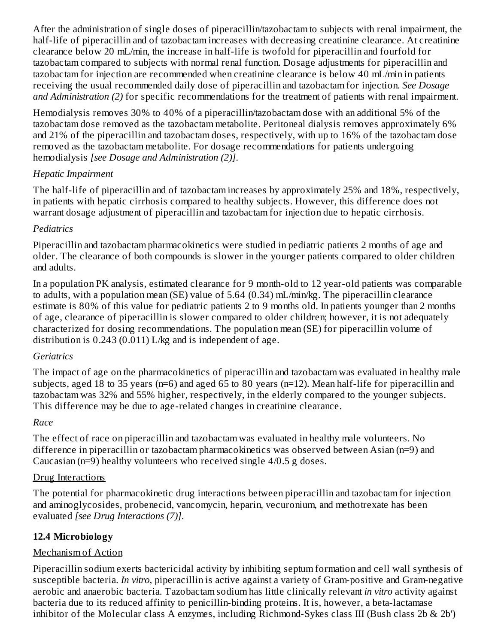After the administration of single doses of piperacillin/tazobactam to subjects with renal impairment, the half-life of piperacillin and of tazobactam increases with decreasing creatinine clearance. At creatinine clearance below 20 mL/min, the increase in half-life is twofold for piperacillin and fourfold for tazobactam compared to subjects with normal renal function. Dosage adjustments for piperacillin and tazobactam for injection are recommended when creatinine clearance is below 40 mL/min in patients receiving the usual recommended daily dose of piperacillin and tazobactam for injection. *See Dosage and Administration (2)* for specific recommendations for the treatment of patients with renal impairment.

Hemodialysis removes 30% to 40% of a piperacillin/tazobactam dose with an additional 5% of the tazobactam dose removed as the tazobactam metabolite. Peritoneal dialysis removes approximately 6% and 21% of the piperacillin and tazobactam doses, respectively, with up to 16% of the tazobactam dose removed as the tazobactam metabolite. For dosage recommendations for patients undergoing hemodialysis *[see Dosage and Administration (2)]*.

### *Hepatic Impairment*

The half-life of piperacillin and of tazobactam increases by approximately 25% and 18%, respectively, in patients with hepatic cirrhosis compared to healthy subjects. However, this difference does not warrant dosage adjustment of piperacillin and tazobactam for injection due to hepatic cirrhosis.

### *Pediatrics*

Piperacillin and tazobactam pharmacokinetics were studied in pediatric patients 2 months of age and older. The clearance of both compounds is slower in the younger patients compared to older children and adults.

In a population PK analysis, estimated clearance for 9 month-old to 12 year-old patients was comparable to adults, with a population mean (SE) value of 5.64 (0.34) mL/min/kg. The piperacillin clearance estimate is 80% of this value for pediatric patients 2 to 9 months old. In patients younger than 2 months of age, clearance of piperacillin is slower compared to older children; however, it is not adequately characterized for dosing recommendations. The population mean (SE) for piperacillin volume of distribution is 0.243 (0.011) L/kg and is independent of age.

### *Geriatrics*

The impact of age on the pharmacokinetics of piperacillin and tazobactam was evaluated in healthy male subjects, aged 18 to 35 years (n=6) and aged 65 to 80 years (n=12). Mean half-life for piperacillin and tazobactam was 32% and 55% higher, respectively, in the elderly compared to the younger subjects. This difference may be due to age-related changes in creatinine clearance.

### *Race*

The effect of race on piperacillin and tazobactam was evaluated in healthy male volunteers. No difference in piperacillin or tazobactam pharmacokinetics was observed between Asian (n=9) and Caucasian (n=9) healthy volunteers who received single 4/0.5 g doses.

### Drug Interactions

The potential for pharmacokinetic drug interactions between piperacillin and tazobactam for injection and aminoglycosides, probenecid, vancomycin, heparin, vecuronium, and methotrexate has been evaluated *[see Drug Interactions (7)]*.

### **12.4 Microbiology**

### Mechanism of Action

Piperacillin sodium exerts bactericidal activity by inhibiting septum formation and cell wall synthesis of susceptible bacteria. *In vitro*, piperacillin is active against a variety of Gram-positive and Gram-negative aerobic and anaerobic bacteria. Tazobactam sodium has little clinically relevant *in vitro* activity against bacteria due to its reduced affinity to penicillin-binding proteins. It is, however, a beta-lactamase inhibitor of the Molecular class A enzymes, including Richmond-Sykes class III (Bush class 2b & 2b')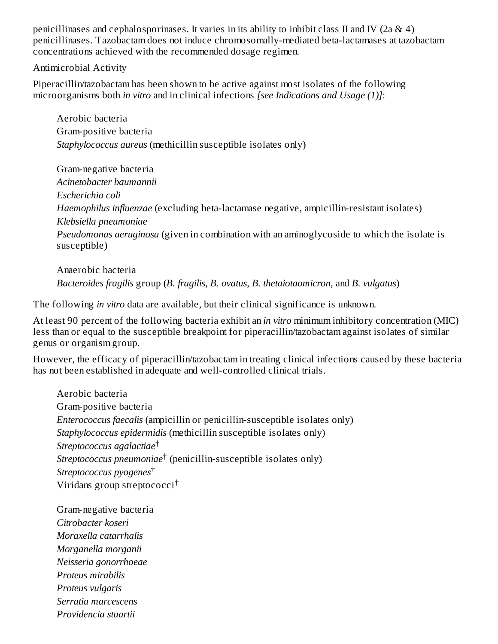penicillinases and cephalosporinases. It varies in its ability to inhibit class II and IV (2a & 4) penicillinases. Tazobactam does not induce chromosomally-mediated beta-lactamases at tazobactam concentrations achieved with the recommended dosage regimen.

Antimicrobial Activity

Piperacillin/tazobactam has been shown to be active against most isolates of the following microorganisms both *in vitro* and in clinical infections *[see Indications and Usage (1)]*:

Aerobic bacteria Gram-positive bacteria *Staphylococcus aureus* (methicillin susceptible isolates only)

Gram-negative bacteria *Acinetobacter baumannii Escherichia coli Haemophilus influenzae* (excluding beta-lactamase negative, ampicillin-resistant isolates) *Klebsiella pneumoniae Pseudomonas aeruginosa* (given in combination with an aminoglycoside to which the isolate is susceptible)

Anaerobic bacteria *Bacteroides fragilis* group (*B. fragilis*, *B. ovatus*, *B. thetaiotaomicron*, and *B. vulgatus*)

The following *in vitro* data are available, but their clinical significance is unknown.

At least 90 percent of the following bacteria exhibit an *in vitro* minimum inhibitory concentration (MIC) less than or equal to the susceptible breakpoint for piperacillin/tazobactam against isolates of similar genus or organism group.

However, the efficacy of piperacillin/tazobactam in treating clinical infections caused by these bacteria has not been established in adequate and well-controlled clinical trials.

Aerobic bacteria Gram-positive bacteria *Enterococcus faecalis* (ampicillin or penicillin-susceptible isolates only) *Staphylococcus epidermidis* (methicillin susceptible isolates only) *Streptococcus agalactiae* † *Streptococcus pneumoniae*† (penicillin-susceptible isolates only) *Streptococcus pyogenes* † Viridans group streptococci †

Gram-negative bacteria *Citrobacter koseri Moraxella catarrhalis Morganella morganii Neisseria gonorrhoeae Proteus mirabilis Proteus vulgaris Serratia marcescens Providencia stuartii*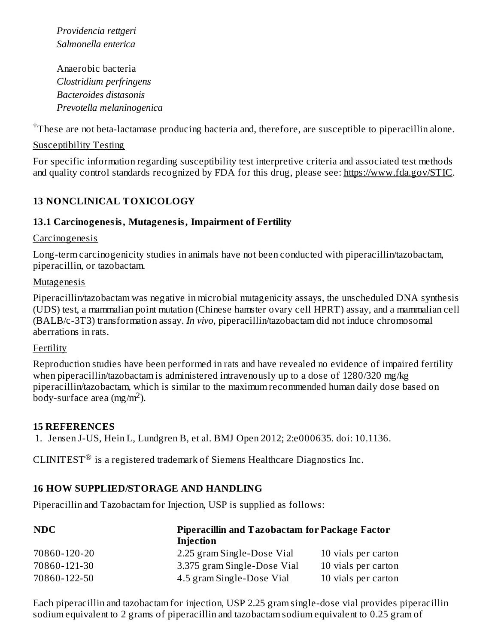*Providencia rettgeri Salmonella enterica*

Anaerobic bacteria *Clostridium perfringens Bacteroides distasonis Prevotella melaninogenica*

 $\dagger$ These are not beta-lactamase producing bacteria and, therefore, are susceptible to piperacillin alone.

#### Susceptibility Testing

For specific information regarding susceptibility test interpretive criteria and associated test methods and quality control standards recognized by FDA for this drug, please see: https://www.fda.gov/STIC.

### **13 NONCLINICAL TOXICOLOGY**

#### **13.1 Carcinogenesis, Mutagenesis, Impairment of Fertility**

#### Carcinogenesis

Long-term carcinogenicity studies in animals have not been conducted with piperacillin/tazobactam, piperacillin, or tazobactam.

#### **Mutagenesis**

Piperacillin/tazobactam was negative in microbial mutagenicity assays, the unscheduled DNA synthesis (UDS) test, a mammalian point mutation (Chinese hamster ovary cell HPRT) assay, and a mammalian cell (BALB/c-3T3) transformation assay. *In vivo*, piperacillin/tazobactam did not induce chromosomal aberrations in rats.

#### Fertility

Reproduction studies have been performed in rats and have revealed no evidence of impaired fertility when piperacillin/tazobactam is administered intravenously up to a dose of 1280/320 mg/kg piperacillin/tazobactam, which is similar to the maximum recommended human daily dose based on  $\overline{\text{body}}$ -surface area (mg/m<sup>2</sup>).

#### **15 REFERENCES**

1. Jensen J-US, Hein L, Lundgren B, et al. BMJ Open 2012; 2:e000635. doi: 10.1136.

CLINITEST<sup>®</sup> is a registered trademark of Siemens Healthcare Diagnostics Inc.

### **16 HOW SUPPLIED/STORAGE AND HANDLING**

Piperacillin and Tazobactam for Injection, USP is supplied as follows:

| <b>NDC</b>   | Injection                   | <b>Piperacillin and Tazobactam for Package Factor</b> |  |  |
|--------------|-----------------------------|-------------------------------------------------------|--|--|
| 70860-120-20 | 2.25 gram Single-Dose Vial  | 10 vials per carton                                   |  |  |
| 70860-121-30 | 3.375 gram Single-Dose Vial | 10 vials per carton                                   |  |  |
| 70860-122-50 | 4.5 gram Single-Dose Vial   | 10 vials per carton                                   |  |  |

Each piperacillin and tazobactam for injection, USP 2.25 gram single-dose vial provides piperacillin sodium equivalent to 2 grams of piperacillin and tazobactam sodium equivalent to 0.25 gram of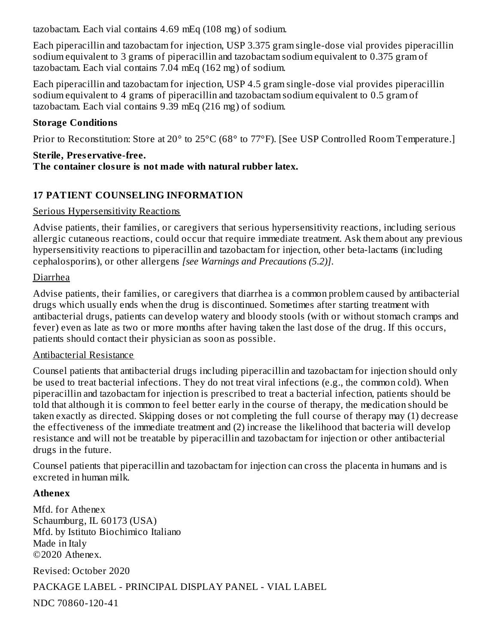tazobactam. Each vial contains 4.69 mEq (108 mg) of sodium.

Each piperacillin and tazobactam for injection, USP 3.375 gram single-dose vial provides piperacillin sodium equivalent to 3 grams of piperacillin and tazobactam sodium equivalent to 0.375 gram of tazobactam. Each vial contains 7.04 mEq (162 mg) of sodium.

Each piperacillin and tazobactam for injection, USP 4.5 gram single-dose vial provides piperacillin sodium equivalent to 4 grams of piperacillin and tazobactam sodium equivalent to 0.5 gram of tazobactam. Each vial contains 9.39 mEq (216 mg) of sodium.

### **Storage Conditions**

Prior to Reconstitution: Store at 20° to 25°C (68° to 77°F). [See USP Controlled Room Temperature.]

### **Sterile, Pres ervative-free.**

**The container closure is not made with natural rubber latex.**

## **17 PATIENT COUNSELING INFORMATION**

### Serious Hypersensitivity Reactions

Advise patients, their families, or caregivers that serious hypersensitivity reactions, including serious allergic cutaneous reactions, could occur that require immediate treatment. Ask them about any previous hypersensitivity reactions to piperacillin and tazobactam for injection, other beta-lactams (including cephalosporins), or other allergens *[see Warnings and Precautions (5.2)]*.

### Diarrhea

Advise patients, their families, or caregivers that diarrhea is a common problem caused by antibacterial drugs which usually ends when the drug is discontinued. Sometimes after starting treatment with antibacterial drugs, patients can develop watery and bloody stools (with or without stomach cramps and fever) even as late as two or more months after having taken the last dose of the drug. If this occurs, patients should contact their physician as soon as possible.

### Antibacterial Resistance

Counsel patients that antibacterial drugs including piperacillin and tazobactam for injection should only be used to treat bacterial infections. They do not treat viral infections (e.g., the common cold). When piperacillin and tazobactam for injection is prescribed to treat a bacterial infection, patients should be told that although it is common to feel better early in the course of therapy, the medication should be taken exactly as directed. Skipping doses or not completing the full course of therapy may (1) decrease the effectiveness of the immediate treatment and (2) increase the likelihood that bacteria will develop resistance and will not be treatable by piperacillin and tazobactam for injection or other antibacterial drugs in the future.

Counsel patients that piperacillin and tazobactam for injection can cross the placenta in humans and is excreted in human milk.

### **Athenex**

Mfd. for Athenex Schaumburg, IL 60173 (USA) Mfd. by Istituto Biochimico Italiano Made in Italy ©2020 Athenex.

Revised: October 2020

### PACKAGE LABEL - PRINCIPAL DISPLAY PANEL - VIAL LABEL

NDC 70860-120-41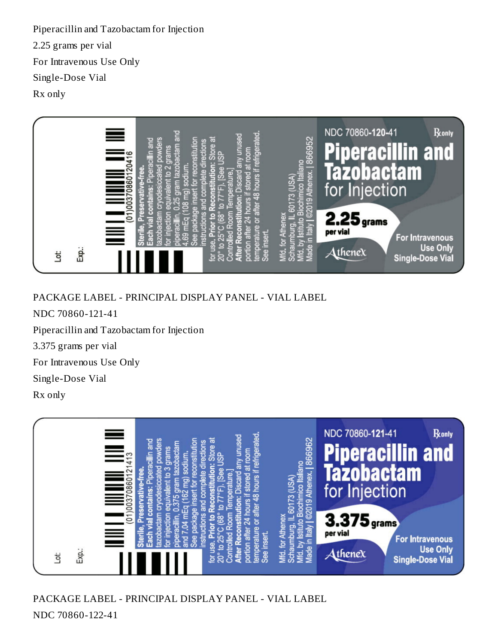Piperacillin and Tazobactam for Injection 2.25 grams per vial For Intravenous Use Only Single-Dose Vial Rx only



PACKAGE LABEL - PRINCIPAL DISPLAY PANEL - VIAL LABEL

NDC 70860-121-41

Piperacillin and Tazobactam for Injection

3.375 grams per vial

For Intravenous Use Only

Single-Dose Vial

Rx only



PACKAGE LABEL - PRINCIPAL DISPLAY PANEL - VIAL LABEL NDC 70860-122-41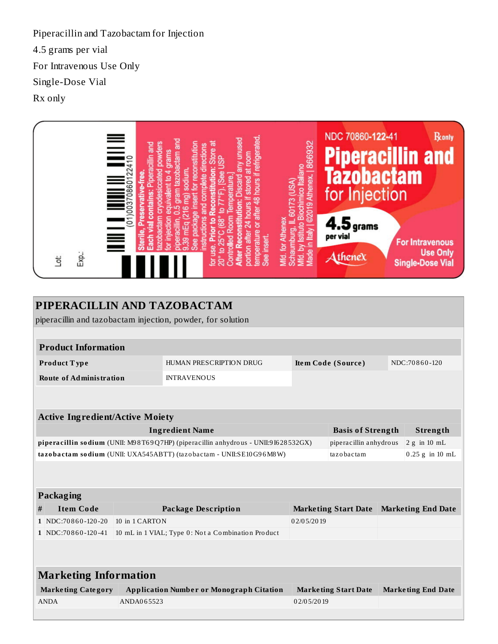Piperacillin and Tazobactam for Injection 4.5 grams per vial For Intravenous Use Only Single-Dose Vial Rx only



| PIPERACILLIN AND TAZOBACTAM                                         |                                                                                                                                          |                                                    |                                |            |                             |                   |                           |
|---------------------------------------------------------------------|------------------------------------------------------------------------------------------------------------------------------------------|----------------------------------------------------|--------------------------------|------------|-----------------------------|-------------------|---------------------------|
| piperacillin and tazobactam injection, powder, for solution         |                                                                                                                                          |                                                    |                                |            |                             |                   |                           |
|                                                                     |                                                                                                                                          |                                                    |                                |            |                             |                   |                           |
| <b>Product Information</b>                                          |                                                                                                                                          |                                                    |                                |            |                             |                   |                           |
| Product Type                                                        |                                                                                                                                          |                                                    | <b>HUMAN PRESCRIPTION DRUG</b> |            | Item Code (Source)          |                   | NDC:70860-120             |
|                                                                     | <b>Route of Administration</b>                                                                                                           |                                                    | <b>INTRAVENOUS</b>             |            |                             |                   |                           |
|                                                                     |                                                                                                                                          |                                                    |                                |            |                             |                   |                           |
|                                                                     |                                                                                                                                          |                                                    |                                |            |                             |                   |                           |
|                                                                     | <b>Active Ingredient/Active Moiety</b>                                                                                                   |                                                    |                                |            |                             |                   |                           |
| <b>Ingredient Name</b>                                              |                                                                                                                                          |                                                    |                                |            | <b>Basis of Strength</b>    |                   | Strength                  |
|                                                                     | piperacillin sodium (UNII: M98T69Q7HP) (piperacillin anhydrous - UNII:9I628532GX)                                                        |                                                    | piperacillin anhydrous         |            | $2 g$ in 10 mL              |                   |                           |
| tazobactam sodium (UNII: UXA545ABTT) (tazobactam - UNII:SE10G96M8W) |                                                                                                                                          |                                                    |                                | tazobactam |                             | $0.25$ g in 10 mL |                           |
|                                                                     |                                                                                                                                          |                                                    |                                |            |                             |                   |                           |
|                                                                     |                                                                                                                                          |                                                    |                                |            |                             |                   |                           |
|                                                                     | Packaging                                                                                                                                |                                                    |                                |            |                             |                   |                           |
| <b>Item Code</b><br>#                                               |                                                                                                                                          |                                                    | <b>Package Description</b>     |            | <b>Marketing Start Date</b> |                   | <b>Marketing End Date</b> |
|                                                                     | $1$ NDC: 70860-120-20                                                                                                                    | 10 in 1 CARTON                                     |                                | 02/05/2019 |                             |                   |                           |
|                                                                     | 1 NDC:70860-120-41                                                                                                                       | 10 mL in 1 VIAL; Type 0: Not a Combination Product |                                |            |                             |                   |                           |
|                                                                     |                                                                                                                                          |                                                    |                                |            |                             |                   |                           |
|                                                                     |                                                                                                                                          |                                                    |                                |            |                             |                   |                           |
| <b>Marketing Information</b>                                        |                                                                                                                                          |                                                    |                                |            |                             |                   |                           |
|                                                                     | <b>Marketing Category</b><br><b>Application Number or Monograph Citation</b><br><b>Marketing Start Date</b><br><b>Marketing End Date</b> |                                                    |                                |            |                             |                   |                           |
|                                                                     | <b>ANDA</b>                                                                                                                              | ANDA065523                                         |                                | 02/05/2019 |                             |                   |                           |
|                                                                     |                                                                                                                                          |                                                    |                                |            |                             |                   |                           |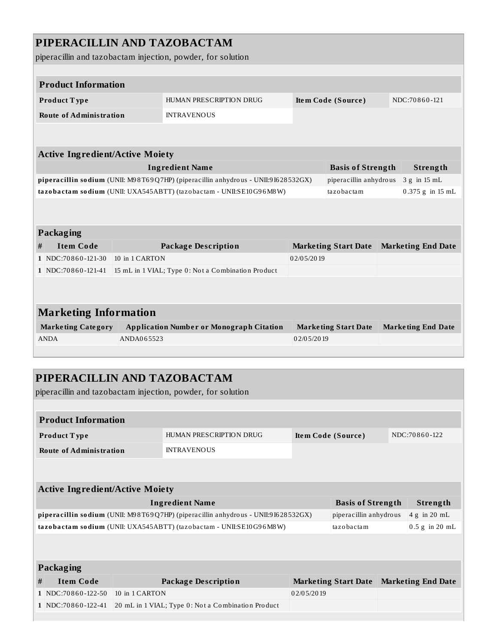## **PIPERACILLIN AND TAZOBACTAM**

piperacillin and tazobactam injection, powder, for solution

|                                                                                   |                                                                                              |                | piperaciiiin anu tazooactani injection, powuer, ror solution                      |            |                             |                           |                                                                                            |  |
|-----------------------------------------------------------------------------------|----------------------------------------------------------------------------------------------|----------------|-----------------------------------------------------------------------------------|------------|-----------------------------|---------------------------|--------------------------------------------------------------------------------------------|--|
| <b>Product Information</b>                                                        |                                                                                              |                |                                                                                   |            |                             |                           |                                                                                            |  |
|                                                                                   |                                                                                              |                |                                                                                   |            |                             |                           |                                                                                            |  |
| Product Type                                                                      |                                                                                              |                | HUMAN PRESCRIPTION DRUG                                                           |            | Item Code (Source)          |                           | NDC:70860-121                                                                              |  |
|                                                                                   | <b>Route of Administration</b>                                                               |                | <b>INTRAVENOUS</b>                                                                |            |                             |                           |                                                                                            |  |
|                                                                                   |                                                                                              |                |                                                                                   |            |                             |                           |                                                                                            |  |
|                                                                                   |                                                                                              |                |                                                                                   |            |                             |                           |                                                                                            |  |
|                                                                                   | <b>Active Ingredient/Active Moiety</b>                                                       |                |                                                                                   |            |                             |                           |                                                                                            |  |
|                                                                                   |                                                                                              |                | <b>Ingredient Name</b>                                                            |            | <b>Basis of Strength</b>    |                           | Strength                                                                                   |  |
|                                                                                   |                                                                                              |                | piperacillin sodium (UNII: M98T69Q7HP) (piperacillin anhydrous - UNII:91628532GX) |            | piperacillin anhydrous      |                           | 3 g in 15 mL<br>0.375 g in 15 mL<br><b>Marketing End Date</b><br>NDC:70860-122<br>Strength |  |
|                                                                                   |                                                                                              |                | tazobactam sodium (UNII: UXA545ABTT) (tazobactam - UNII:SE10G96M8W)               |            | tazobactam                  |                           |                                                                                            |  |
|                                                                                   |                                                                                              |                |                                                                                   |            |                             |                           |                                                                                            |  |
|                                                                                   |                                                                                              |                |                                                                                   |            |                             |                           |                                                                                            |  |
|                                                                                   | Packaging                                                                                    |                |                                                                                   |            |                             |                           |                                                                                            |  |
| #                                                                                 | <b>Item Code</b>                                                                             |                | <b>Package Description</b>                                                        |            | <b>Marketing Start Date</b> | <b>Marketing End Date</b> |                                                                                            |  |
|                                                                                   | 1 NDC:70860-121-30                                                                           | 10 in 1 CARTON |                                                                                   | 02/05/2019 |                             |                           |                                                                                            |  |
|                                                                                   | 1 NDC:70860-121-41                                                                           |                | 15 mL in 1 VIAL; Type 0: Not a Combination Product                                |            |                             |                           |                                                                                            |  |
|                                                                                   |                                                                                              |                |                                                                                   |            |                             |                           |                                                                                            |  |
|                                                                                   |                                                                                              |                |                                                                                   |            |                             |                           |                                                                                            |  |
|                                                                                   | <b>Marketing Information</b>                                                                 |                |                                                                                   |            |                             |                           |                                                                                            |  |
|                                                                                   | <b>Marketing Category</b>                                                                    |                | <b>Application Number or Monograph Citation</b>                                   |            | <b>Marketing Start Date</b> |                           |                                                                                            |  |
| <b>ANDA</b>                                                                       |                                                                                              | ANDA065523     |                                                                                   | 02/05/2019 |                             |                           |                                                                                            |  |
|                                                                                   |                                                                                              |                |                                                                                   |            |                             |                           |                                                                                            |  |
|                                                                                   |                                                                                              |                |                                                                                   |            |                             |                           |                                                                                            |  |
|                                                                                   |                                                                                              |                | PIPERACILLIN AND TAZOBACTAM                                                       |            |                             |                           |                                                                                            |  |
|                                                                                   |                                                                                              |                |                                                                                   |            |                             |                           |                                                                                            |  |
|                                                                                   |                                                                                              |                | piperacillin and tazobactam injection, powder, for solution                       |            |                             |                           |                                                                                            |  |
|                                                                                   |                                                                                              |                |                                                                                   |            |                             |                           |                                                                                            |  |
|                                                                                   | <b>Product Information</b>                                                                   |                |                                                                                   |            |                             |                           |                                                                                            |  |
|                                                                                   | Product Type                                                                                 |                | HUMAN PRESCRIPTION DRUG                                                           |            | Item Code (Source)          |                           |                                                                                            |  |
|                                                                                   | <b>Route of Administration</b>                                                               |                | <b>INTRAVENOUS</b>                                                                |            |                             |                           |                                                                                            |  |
|                                                                                   |                                                                                              |                |                                                                                   |            |                             |                           |                                                                                            |  |
|                                                                                   |                                                                                              |                |                                                                                   |            |                             |                           |                                                                                            |  |
|                                                                                   |                                                                                              |                |                                                                                   |            |                             |                           |                                                                                            |  |
|                                                                                   | <b>Active Ingredient/Active Moiety</b><br><b>Ingredient Name</b><br><b>Basis of Strength</b> |                |                                                                                   |            |                             |                           |                                                                                            |  |
| piperacillin sodium (UNII: M98T69Q7HP) (piperacillin anhydrous - UNII:91628532GX) |                                                                                              |                |                                                                                   |            | piperacillin anhydrous      |                           | 4 g in 20 mL                                                                               |  |
|                                                                                   |                                                                                              |                | tazobactam sodium (UNII: UXA545ABTT) (tazobactam - UNII:SE10G96M8W)               |            | tazobactam                  |                           | $0.5$ g in 20 mL                                                                           |  |
|                                                                                   |                                                                                              |                |                                                                                   |            |                             |                           |                                                                                            |  |
|                                                                                   |                                                                                              |                |                                                                                   |            |                             |                           |                                                                                            |  |
|                                                                                   | Packaging                                                                                    |                |                                                                                   |            |                             |                           |                                                                                            |  |
|                                                                                   |                                                                                              |                |                                                                                   |            |                             |                           |                                                                                            |  |
| #                                                                                 | <b>Item Code</b>                                                                             |                | <b>Package Description</b>                                                        |            | <b>Marketing Start Date</b> |                           | <b>Marketing End Date</b>                                                                  |  |
|                                                                                   | 1 NDC:70860-122-50                                                                           | 10 in 1 CARTON |                                                                                   | 02/05/2019 |                             |                           |                                                                                            |  |
|                                                                                   | 1 NDC:70860-122-41                                                                           |                | 20 mL in 1 VIAL; Type 0: Not a Combination Product                                |            |                             |                           |                                                                                            |  |